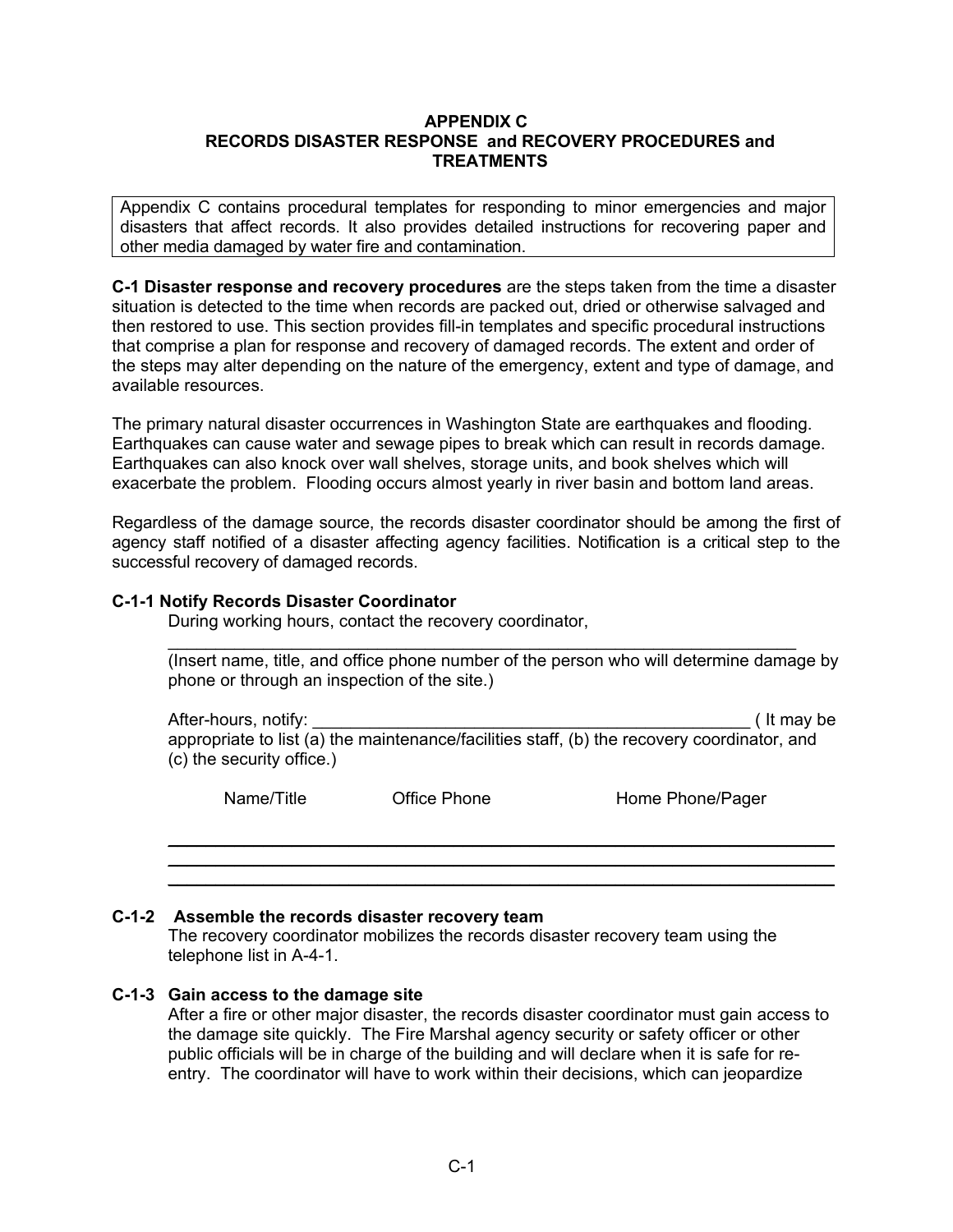#### **APPENDIX C RECORDS DISASTER RESPONSE and RECOVERY PROCEDURES and TREATMENTS**

Appendix C contains procedural templates for responding to minor emergencies and major disasters that affect records. It also provides detailed instructions for recovering paper and other media damaged by water fire and contamination.

**C-1 Disaster response and recovery procedures** are the steps taken from the time a disaster situation is detected to the time when records are packed out, dried or otherwise salvaged and then restored to use. This section provides fill-in templates and specific procedural instructions that comprise a plan for response and recovery of damaged records. The extent and order of the steps may alter depending on the nature of the emergency, extent and type of damage, and available resources.

The primary natural disaster occurrences in Washington State are earthquakes and flooding. Earthquakes can cause water and sewage pipes to break which can result in records damage. Earthquakes can also knock over wall shelves, storage units, and book shelves which will exacerbate the problem. Flooding occurs almost yearly in river basin and bottom land areas.

 Regardless of the damage source, the records disaster coordinator should be among the first of agency staff notified of a disaster affecting agency facilities. Notification is a critical step to the successful recovery of damaged records.

## **C-1-1 Notify Records Disaster Coordinator**

During working hours, contact the recovery coordinator,

\_\_\_\_\_\_\_\_\_\_\_\_\_\_\_\_\_\_\_\_\_\_\_\_\_\_\_\_\_\_\_\_\_\_\_\_\_\_\_\_\_\_\_\_\_\_\_\_\_\_\_\_\_\_\_\_\_\_\_\_\_\_\_\_\_\_ (Insert name, title, and office phone number of the person who will determine damage by phone or through an inspection of the site.)

After-hours, notify: example and the set of the set of the set of the set of the set of the set of the set of the set of the set of the set of the set of the set of the set of the set of the set of the set of the set of th appropriate to list (a) the maintenance/facilities staff, (b) the recovery coordinator, and (c) the security office.)

\_\_\_\_\_\_\_\_\_\_\_\_\_\_\_\_\_\_\_\_\_\_\_\_\_\_\_\_\_\_\_\_\_\_\_\_\_\_\_\_\_\_\_\_\_\_\_\_\_\_\_\_\_\_\_\_\_\_\_\_\_\_\_\_\_\_\_\_\_\_ \_\_\_\_\_\_\_\_\_\_\_\_\_\_\_\_\_\_\_\_\_\_\_\_\_\_\_\_\_\_\_\_\_\_\_\_\_\_\_\_\_\_\_\_\_\_\_\_\_\_\_\_\_\_\_\_\_\_\_\_\_\_\_\_\_\_\_\_\_\_ \_\_\_\_\_\_\_\_\_\_\_\_\_\_\_\_\_\_\_\_\_\_\_\_\_\_\_\_\_\_\_\_\_\_\_\_\_\_\_\_\_\_\_\_\_\_\_\_\_\_\_\_\_\_\_\_\_\_\_\_\_\_\_\_\_\_\_\_\_\_

Name/Title **Contact Contract Contract Phone** Phone Home Phone/Pager

#### **C-1-2 Assemble the records disaster recovery team**

The recovery coordinator mobilizes the records disaster recovery team using the telephone list in A-4-1.

#### **C-1-3 Gain access to the damage site**

After a fire or other major disaster, the records disaster coordinator must gain access to the damage site quickly. The Fire Marshal agency security or safety officer or other public officials will be in charge of the building and will declare when it is safe for reentry. The coordinator will have to work within their decisions, which can jeopardize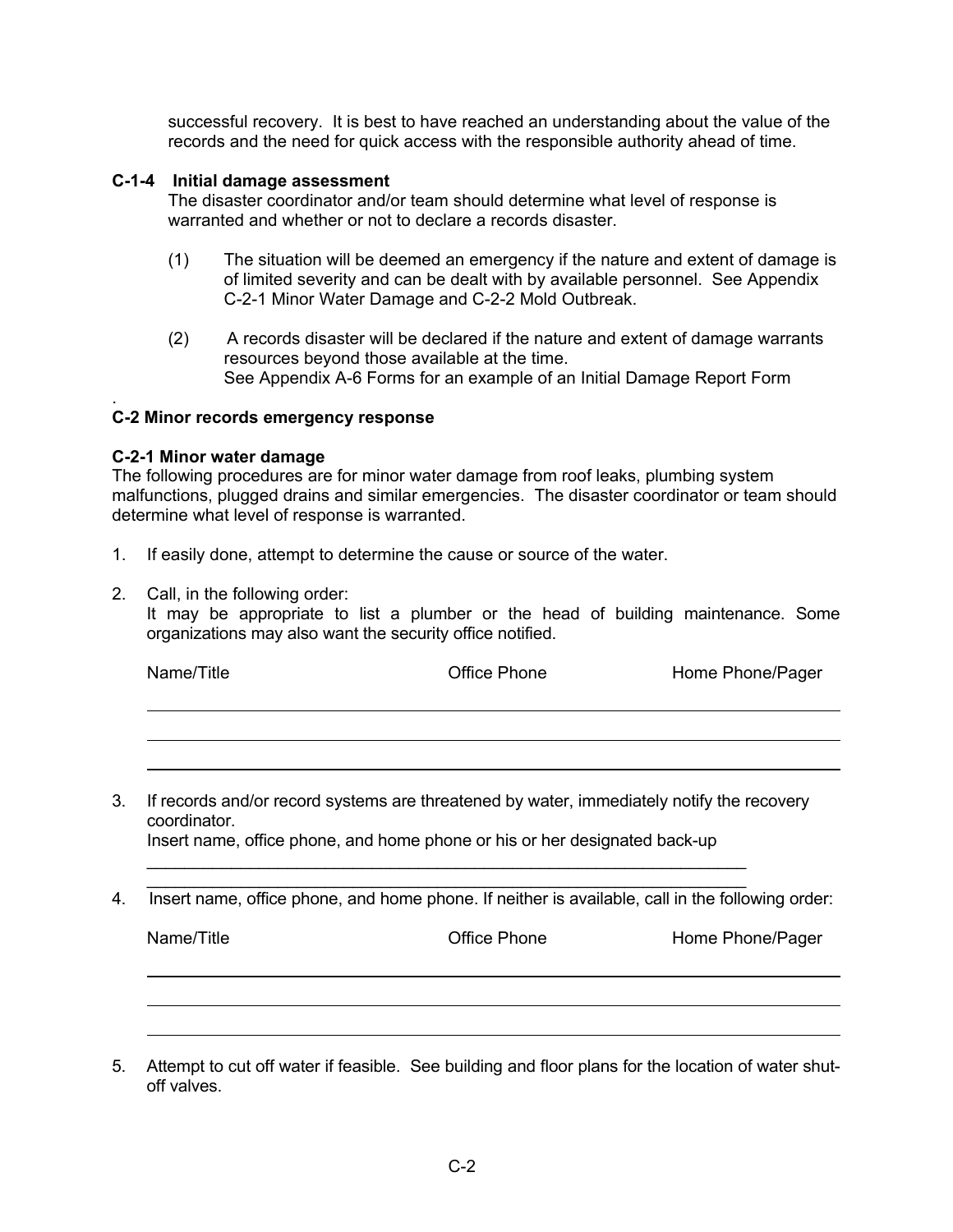successful recovery. It is best to have reached an understanding about the value of the records and the need for quick access with the responsible authority ahead of time.

## **C-1-4 Initial damage assessment**

 The disaster coordinator and/or team should determine what level of response is warranted and whether or not to declare a records disaster.

- (1) The situation will be deemed an emergency if the nature and extent of damage is of limited severity and can be dealt with by available personnel. See Appendix C-2-1 Minor Water Damage and C-2-2 Mold Outbreak.
- (2) A records disaster will be declared if the nature and extent of damage warrants resources beyond those available at the time. See Appendix A-6 Forms for an example of an Initial Damage Report Form

## **C-2 Minor records emergency response**

#### **C-2-1 Minor water damage**

.

The following procedures are for minor water damage from roof leaks, plumbing system malfunctions, plugged drains and similar emergencies. The disaster coordinator or team should determine what level of response is warranted.

- 1. If easily done, attempt to determine the cause or source of the water.
- 2. Call, in the following order:

It may be appropriate to list a plumber or the head of building maintenance. Some organizations may also want the security office notified.

| Name/Title | Office Phone | Home Phone/Pager |
|------------|--------------|------------------|
|            |              |                  |

3. If records and/or record systems are threatened by water, immediately notify the recovery coordinator.

Insert name, office phone, and home phone or his or her designated back-up

\_\_\_\_\_\_\_\_\_\_\_\_\_\_\_\_\_\_\_\_\_\_\_\_\_\_\_\_\_\_\_\_\_\_\_\_\_\_\_\_\_\_\_\_\_\_\_\_\_\_\_\_\_\_\_\_\_\_\_\_\_\_\_\_

\_\_\_\_\_\_\_\_\_\_\_\_\_\_\_\_\_\_\_\_\_\_\_\_\_\_\_\_\_\_\_\_\_\_\_\_\_\_\_\_\_\_\_\_\_\_\_\_\_\_\_\_\_\_\_\_\_\_\_\_\_\_\_\_ 4. Insert name, office phone, and home phone. If neither is available, call in the following order:

Name/Title **Name/Title Contains Software Phone Phone Phone** Phone Phone Phone Phone Phone Phone Phone Phone Phone Phone Phone Phone Phone Phone Phone Phone Phone Phone Phone Phone Phone Phone Phone Phone Phone Phone Phon

5. Attempt to cut off water if feasible. See building and floor plans for the location of water shutoff valves.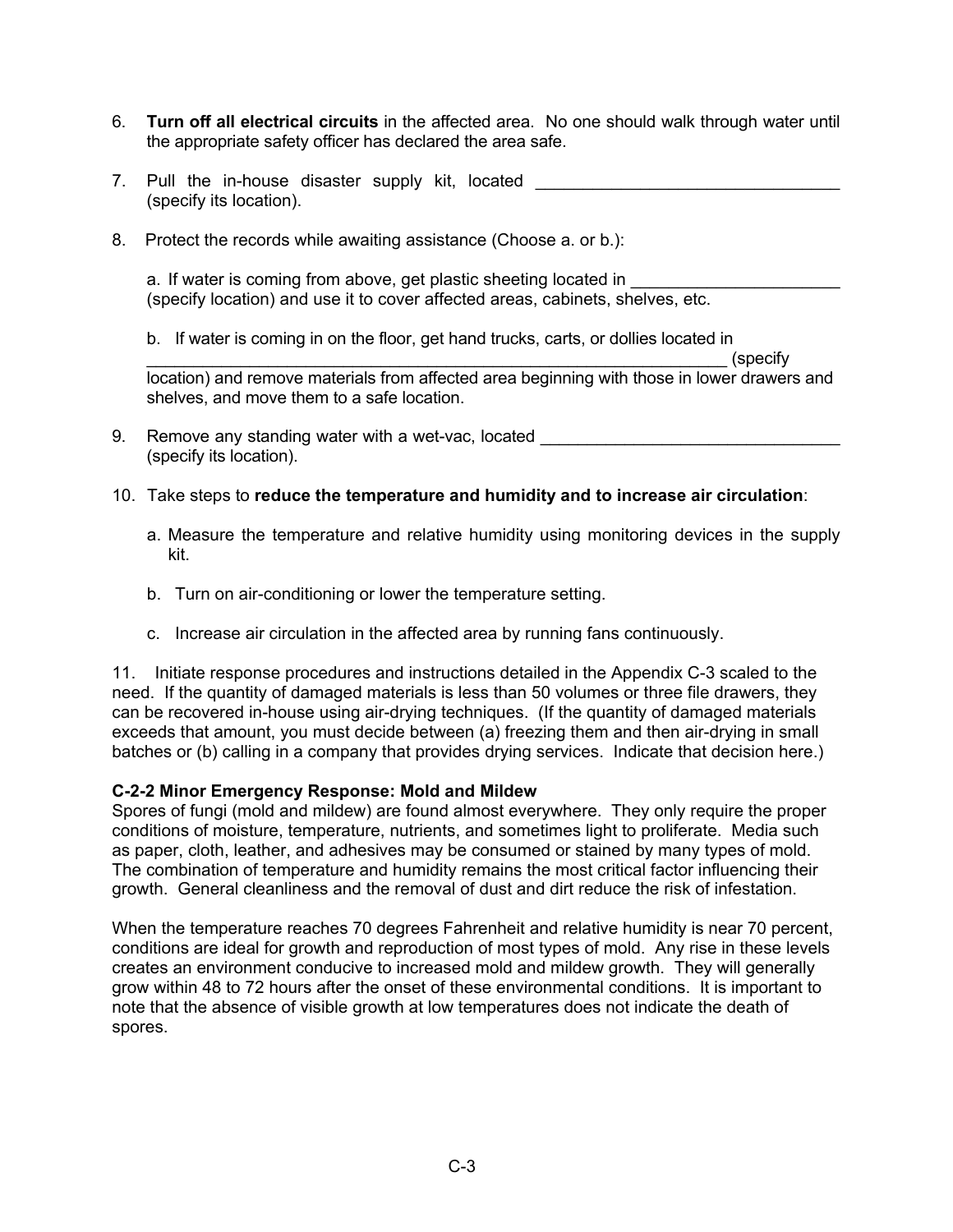- 6. **Turn off all electrical circuits** in the affected area. No one should walk through water until the appropriate safety officer has declared the area safe.
- 7. Pull the in-house disaster supply kit, located (specify its location).
- 8. Protect the records while awaiting assistance (Choose a. or b.):

a. If water is coming from above, get plastic sheeting located in (specify location) and use it to cover affected areas, cabinets, shelves, etc.

b. If water is coming in on the floor, get hand trucks, carts, or dollies located in

\_\_\_\_\_\_\_\_\_\_\_\_\_\_\_\_\_\_\_\_\_\_\_\_\_\_\_\_\_\_\_\_\_\_\_\_\_\_\_\_\_\_\_\_\_\_\_\_\_\_\_\_\_\_\_\_\_\_\_\_\_\_ (specify location) and remove materials from affected area beginning with those in lower drawers and shelves, and move them to a safe location.

- 9. Remove any standing water with a wet-vac, located (specify its location).
- 10. Take steps to **reduce the temperature and humidity and to increase air circulation**:
	- a. Measure the temperature and relative humidity using monitoring devices in the supply kit.
	- b. Turn on air-conditioning or lower the temperature setting.
	- c. Increase air circulation in the affected area by running fans continuously.

11. Initiate response procedures and instructions detailed in the Appendix C-3 scaled to the need. If the quantity of damaged materials is less than 50 volumes or three file drawers, they can be recovered in-house using air-drying techniques. (If the quantity of damaged materials exceeds that amount, you must decide between (a) freezing them and then air-drying in small batches or (b) calling in a company that provides drying services. Indicate that decision here.)

#### **C-2-2 Minor Emergency Response: Mold and Mildew**

Spores of fungi (mold and mildew) are found almost everywhere. They only require the proper conditions of moisture, temperature, nutrients, and sometimes light to proliferate. Media such as paper, cloth, leather, and adhesives may be consumed or stained by many types of mold. The combination of temperature and humidity remains the most critical factor influencing their growth. General cleanliness and the removal of dust and dirt reduce the risk of infestation.

When the temperature reaches 70 degrees Fahrenheit and relative humidity is near 70 percent, conditions are ideal for growth and reproduction of most types of mold. Any rise in these levels creates an environment conducive to increased mold and mildew growth. They will generally grow within 48 to 72 hours after the onset of these environmental conditions. It is important to note that the absence of visible growth at low temperatures does not indicate the death of spores.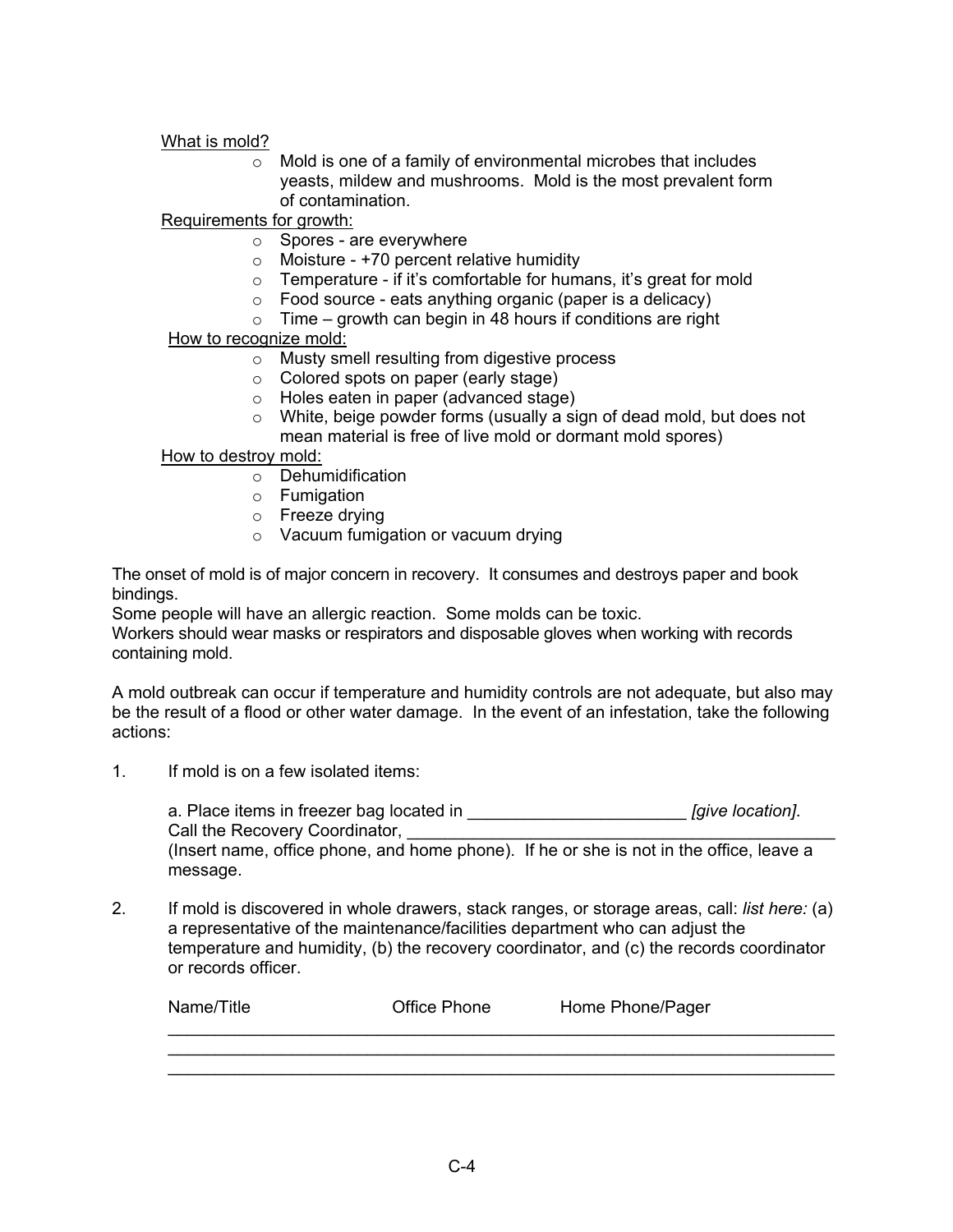What is mold?

o Mold is one of a family of environmental microbes that includes yeasts, mildew and mushrooms. Mold is the most prevalent form of contamination.

Requirements for growth:

- o Spores are everywhere
- $\circ$  Moisture +70 percent relative humidity
- $\circ$  Temperature if it's comfortable for humans, it's great for mold
- o Food source eats anything organic (paper is a delicacy)
- $\circ$  Time growth can begin in 48 hours if conditions are right

#### How to recognize mold:

- o Musty smell resulting from digestive process
- o Colored spots on paper (early stage)
- o Holes eaten in paper (advanced stage)
- o White, beige powder forms (usually a sign of dead mold, but does not
- mean material is free of live mold or dormant mold spores)

#### How to destroy mold:

- $\circ$  Dehumidification
- o Fumigation
- o Freeze drying
- o Vacuum fumigation or vacuum drying

The onset of mold is of major concern in recovery. It consumes and destroys paper and book bindings.

Some people will have an allergic reaction. Some molds can be toxic.

Workers should wear masks or respirators and disposable gloves when working with records containing mold.

A mold outbreak can occur if temperature and humidity controls are not adequate, but also may be the result of a flood or other water damage. In the event of an infestation, take the following actions:

1. If mold is on a few isolated items:

 a. Place items in freezer bag located in \_\_\_\_\_\_\_\_\_\_\_\_\_\_\_\_\_\_\_\_\_\_\_ *[give location]*. Call the Recovery Coordinator,

(Insert name, office phone, and home phone). If he or she is not in the office, leave a message.

2. If mold is discovered in whole drawers, stack ranges, or storage areas, call: *list here:* (a) a representative of the maintenance/facilities department who can adjust the temperature and humidity, (b) the recovery coordinator, and (c) the records coordinator or records officer.

| Name/Title | Office Phone | Home Phone/Pager |
|------------|--------------|------------------|
|            |              |                  |
|            |              |                  |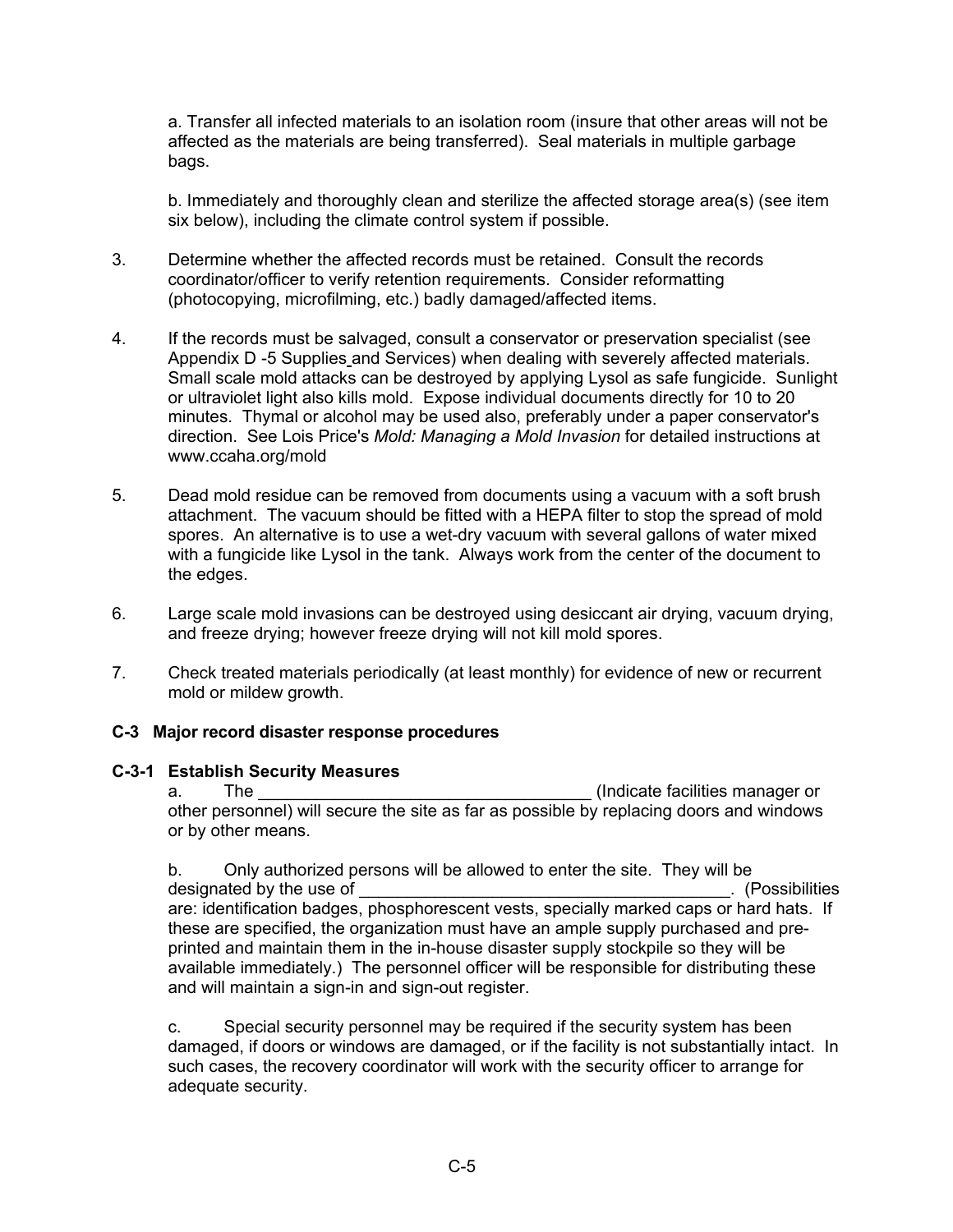a. Transfer all infected materials to an isolation room (insure that other areas will not be affected as the materials are being transferred). Seal materials in multiple garbage bags.

b. Immediately and thoroughly clean and sterilize the affected storage area(s) (see item six below), including the climate control system if possible.

- 3. Determine whether the affected records must be retained. Consult the records coordinator/officer to verify retention requirements. Consider reformatting (photocopying, microfilming, etc.) badly damaged/affected items.
- 4. If the records must be salvaged, consult a conservator or preservation specialist (see Appendix D -5 Supplies and Services) when dealing with severely affected materials. Small scale mold attacks can be destroyed by applying Lysol as safe fungicide. Sunlight or ultraviolet light also kills mold. Expose individual documents directly for 10 to 20 minutes. Thymal or alcohol may be used also, preferably under a paper conservator's direction. See Lois Price's *Mold: Managing a Mold Invasion* for detailed instructions at www.ccaha.org/mold
- 5. Dead mold residue can be removed from documents using a vacuum with a soft brush attachment. The vacuum should be fitted with a HEPA filter to stop the spread of mold spores. An alternative is to use a wet-dry vacuum with several gallons of water mixed with a fungicide like Lysol in the tank. Always work from the center of the document to the edges.
- 6. Large scale mold invasions can be destroyed using desiccant air drying, vacuum drying, and freeze drying; however freeze drying will not kill mold spores.
- 7. Check treated materials periodically (at least monthly) for evidence of new or recurrent mold or mildew growth.

## **C-3 Major record disaster response procedures**

#### **C-3-1 Establish Security Measures**

a. The **The Election Contract Contract Contract Contract Contract Contract Contract Contract Contract Contract Contract Contract Contract Contract Contract Contract Contract Contract Contract Contract Contract Contract Con** other personnel) will secure the site as far as possible by replacing doors and windows or by other means.

b. Only authorized persons will be allowed to enter the site. They will be designated by the use of **Exercise 2** and the use of  $\blacksquare$ are: identification badges, phosphorescent vests, specially marked caps or hard hats. If these are specified, the organization must have an ample supply purchased and preprinted and maintain them in the in-house disaster supply stockpile so they will be available immediately.) The personnel officer will be responsible for distributing these and will maintain a sign-in and sign-out register.

c. Special security personnel may be required if the security system has been damaged, if doors or windows are damaged, or if the facility is not substantially intact. In such cases, the recovery coordinator will work with the security officer to arrange for adequate security.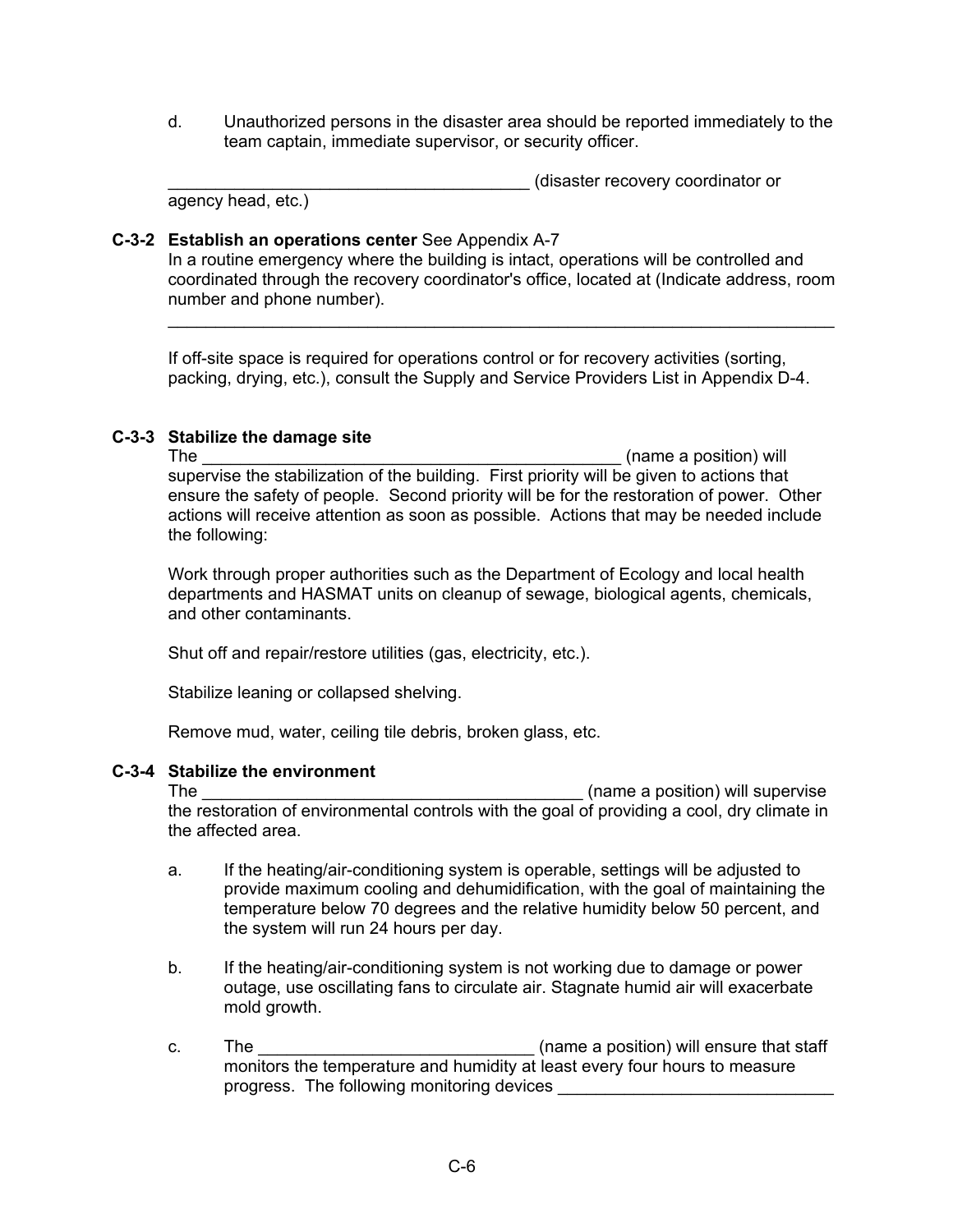d. Unauthorized persons in the disaster area should be reported immediately to the team captain, immediate supervisor, or security officer.

\_\_\_\_\_\_\_\_\_\_\_\_\_\_\_\_\_\_\_\_\_\_\_\_\_\_\_\_\_\_\_\_\_\_\_\_\_\_ (disaster recovery coordinator or

# agency head, etc.)

## **C-3-2 Establish an operations center** See Appendix A-7

In a routine emergency where the building is intact, operations will be controlled and coordinated through the recovery coordinator's office, located at (Indicate address, room number and phone number).

\_\_\_\_\_\_\_\_\_\_\_\_\_\_\_\_\_\_\_\_\_\_\_\_\_\_\_\_\_\_\_\_\_\_\_\_\_\_\_\_\_\_\_\_\_\_\_\_\_\_\_\_\_\_\_\_\_\_\_\_\_\_\_\_\_\_\_\_\_\_

If off-site space is required for operations control or for recovery activities (sorting, packing, drying, etc.), consult the Supply and Service Providers List in Appendix D-4.

## **C-3-3 Stabilize the damage site**

The \_\_\_\_\_\_\_\_\_\_\_\_\_\_\_\_\_\_\_\_\_\_\_\_\_\_\_\_\_\_\_\_\_\_\_\_\_\_\_\_\_\_\_\_ (name a position) will supervise the stabilization of the building. First priority will be given to actions that ensure the safety of people. Second priority will be for the restoration of power. Other actions will receive attention as soon as possible. Actions that may be needed include the following:

Work through proper authorities such as the Department of Ecology and local health departments and HASMAT units on cleanup of sewage, biological agents, chemicals, and other contaminants.

Shut off and repair/restore utilities (gas, electricity, etc.).

Stabilize leaning or collapsed shelving.

Remove mud, water, ceiling tile debris, broken glass, etc.

# **C-3-4 Stabilize the environment**

The \_\_\_\_\_\_\_\_\_\_\_\_\_\_\_\_\_\_\_\_\_\_\_\_\_\_\_\_\_\_\_\_\_\_\_\_\_\_\_\_ (name a position) will supervise the restoration of environmental controls with the goal of providing a cool, dry climate in the affected area.

- a. If the heating/air-conditioning system is operable, settings will be adjusted to provide maximum cooling and dehumidification, with the goal of maintaining the temperature below 70 degrees and the relative humidity below 50 percent, and the system will run 24 hours per day.
- b. If the heating/air-conditioning system is not working due to damage or power outage, use oscillating fans to circulate air. Stagnate humid air will exacerbate mold growth.
- c. The \_\_\_\_\_\_\_\_\_\_\_\_\_\_\_\_\_\_\_\_\_\_\_\_\_\_\_\_\_ (name a position) will ensure that staff monitors the temperature and humidity at least every four hours to measure progress. The following monitoring devices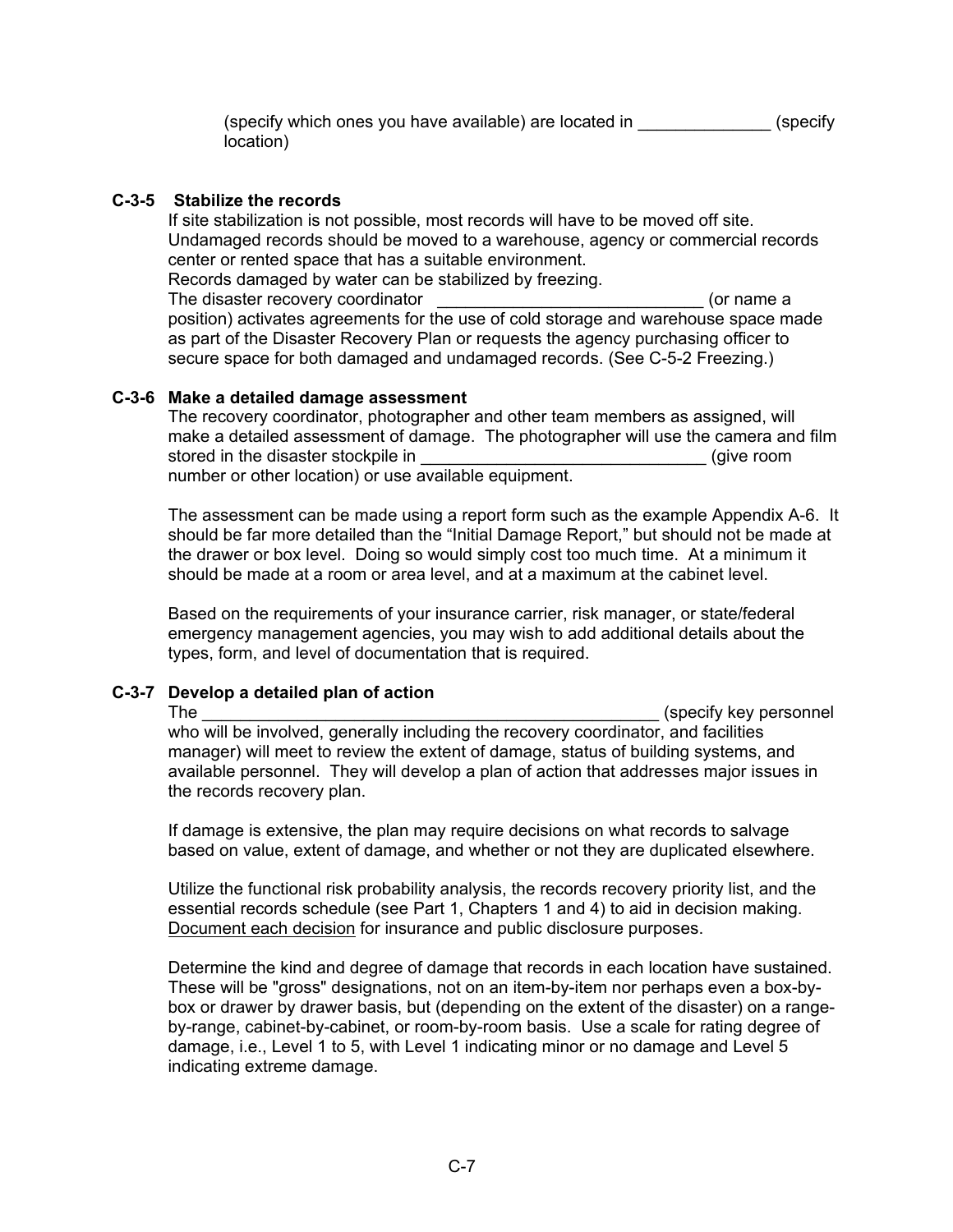(specify which ones you have available) are located in \_\_\_\_\_\_\_\_\_\_\_\_\_\_ (specify location)

#### **C-3-5 Stabilize the records**

If site stabilization is not possible, most records will have to be moved off site. Undamaged records should be moved to a warehouse, agency or commercial records center or rented space that has a suitable environment.

Records damaged by water can be stabilized by freezing.

The disaster recovery coordinator example the disaster recovery coordinator and the set of the set of the set o position) activates agreements for the use of cold storage and warehouse space made as part of the Disaster Recovery Plan or requests the agency purchasing officer to secure space for both damaged and undamaged records. (See C-5-2 Freezing.)

#### **C-3-6 Make a detailed damage assessment**

The recovery coordinator, photographer and other team members as assigned, will make a detailed assessment of damage. The photographer will use the camera and film stored in the disaster stockpile in number or other location) or use available equipment.

The assessment can be made using a report form such as the example Appendix A-6. It should be far more detailed than the "Initial Damage Report," but should not be made at the drawer or box level. Doing so would simply cost too much time. At a minimum it should be made at a room or area level, and at a maximum at the cabinet level.

Based on the requirements of your insurance carrier, risk manager, or state/federal emergency management agencies, you may wish to add additional details about the types, form, and level of documentation that is required.

## **C-3-7 Develop a detailed plan of action**

## The \_\_\_\_\_\_\_\_\_\_\_\_\_\_\_\_\_\_\_\_\_\_\_\_\_\_\_\_\_\_\_\_\_\_\_\_\_\_\_\_\_\_\_\_\_\_\_\_ (specify key personnel who will be involved, generally including the recovery coordinator, and facilities manager) will meet to review the extent of damage, status of building systems, and available personnel. They will develop a plan of action that addresses major issues in the records recovery plan.

If damage is extensive, the plan may require decisions on what records to salvage based on value, extent of damage, and whether or not they are duplicated elsewhere.

Utilize the functional risk probability analysis, the records recovery priority list, and the essential records schedule (see Part 1, Chapters 1 and 4) to aid in decision making. Document each decision for insurance and public disclosure purposes.

Determine the kind and degree of damage that records in each location have sustained. These will be "gross" designations, not on an item-by-item nor perhaps even a box-bybox or drawer by drawer basis, but (depending on the extent of the disaster) on a rangeby-range, cabinet-by-cabinet, or room-by-room basis. Use a scale for rating degree of damage, i.e., Level 1 to 5, with Level 1 indicating minor or no damage and Level 5 indicating extreme damage.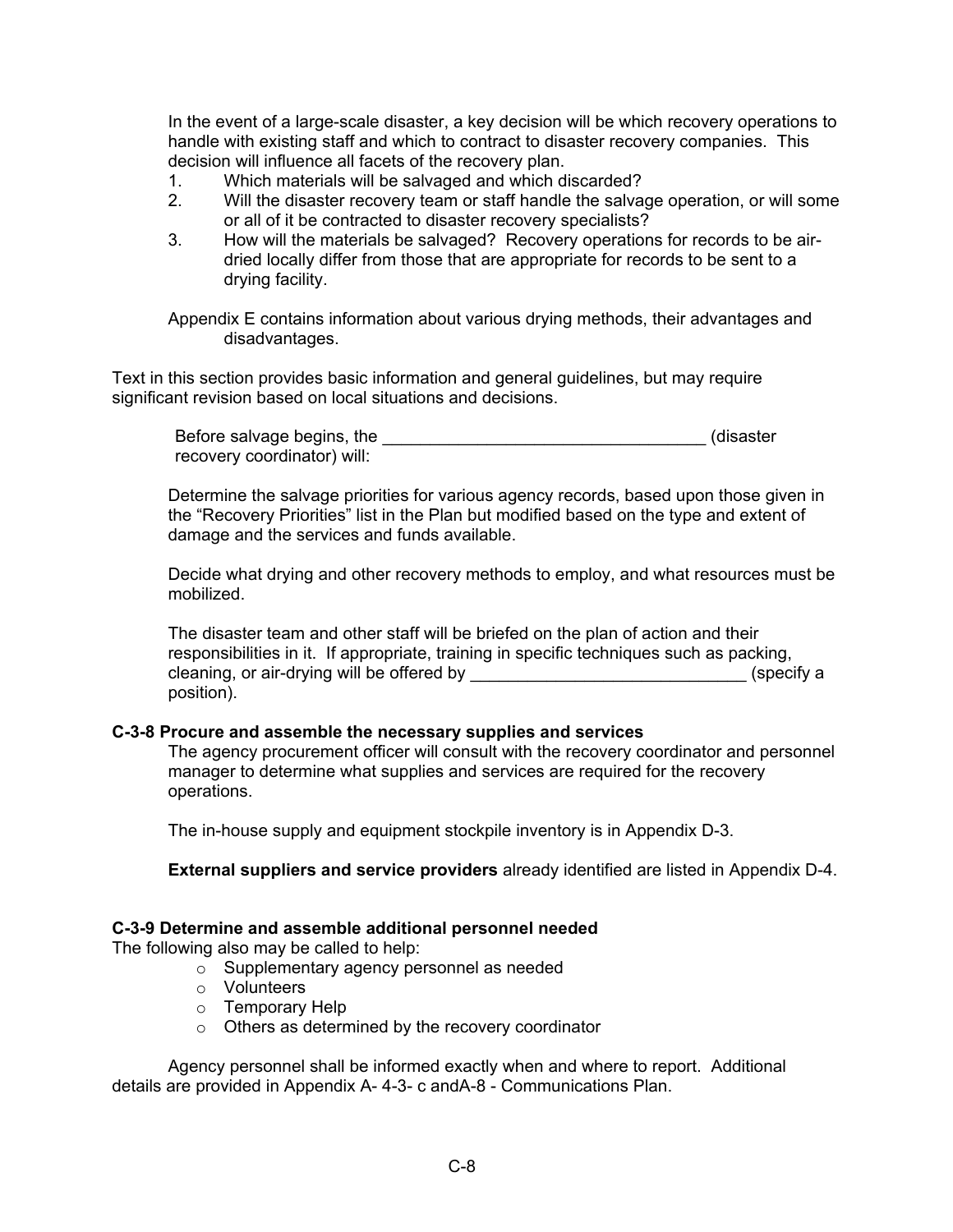In the event of a large-scale disaster, a key decision will be which recovery operations to handle with existing staff and which to contract to disaster recovery companies. This decision will influence all facets of the recovery plan.

- 1. Which materials will be salvaged and which discarded?
- 2. Will the disaster recovery team or staff handle the salvage operation, or will some or all of it be contracted to disaster recovery specialists?
- 3. How will the materials be salvaged? Recovery operations for records to be airdried locally differ from those that are appropriate for records to be sent to a drying facility.

Appendix E contains information about various drying methods, their advantages and disadvantages.

Text in this section provides basic information and general guidelines, but may require significant revision based on local situations and decisions.

Before salvage begins, the \_\_\_\_\_\_\_\_\_\_\_\_\_\_\_\_\_\_\_\_\_\_\_\_\_\_\_\_\_\_\_\_\_\_ (disaster recovery coordinator) will:

Determine the salvage priorities for various agency records, based upon those given in the "Recovery Priorities" list in the Plan but modified based on the type and extent of damage and the services and funds available.

Decide what drying and other recovery methods to employ, and what resources must be mobilized.

The disaster team and other staff will be briefed on the plan of action and their responsibilities in it. If appropriate, training in specific techniques such as packing, cleaning, or air-drying will be offered by \_\_\_\_\_\_\_\_\_\_\_\_\_\_\_\_\_\_\_\_\_\_\_\_\_\_\_\_\_\_\_\_\_\_(specify a position).

#### **C-3-8 Procure and assemble the necessary supplies and services**

The agency procurement officer will consult with the recovery coordinator and personnel manager to determine what supplies and services are required for the recovery operations.

The in-house supply and equipment stockpile inventory is in Appendix D-3.

 **External suppliers and service providers** already identified are listed in Appendix D-4.

#### **C-3-9 Determine and assemble additional personnel needed**

The following also may be called to help:

- o Supplementary agency personnel as needed
- o Volunteers
- o Temporary Help
- o Others as determined by the recovery coordinator

 Agency personnel shall be informed exactly when and where to report. Additional details are provided in Appendix A- 4-3- c andA-8 - Communications Plan.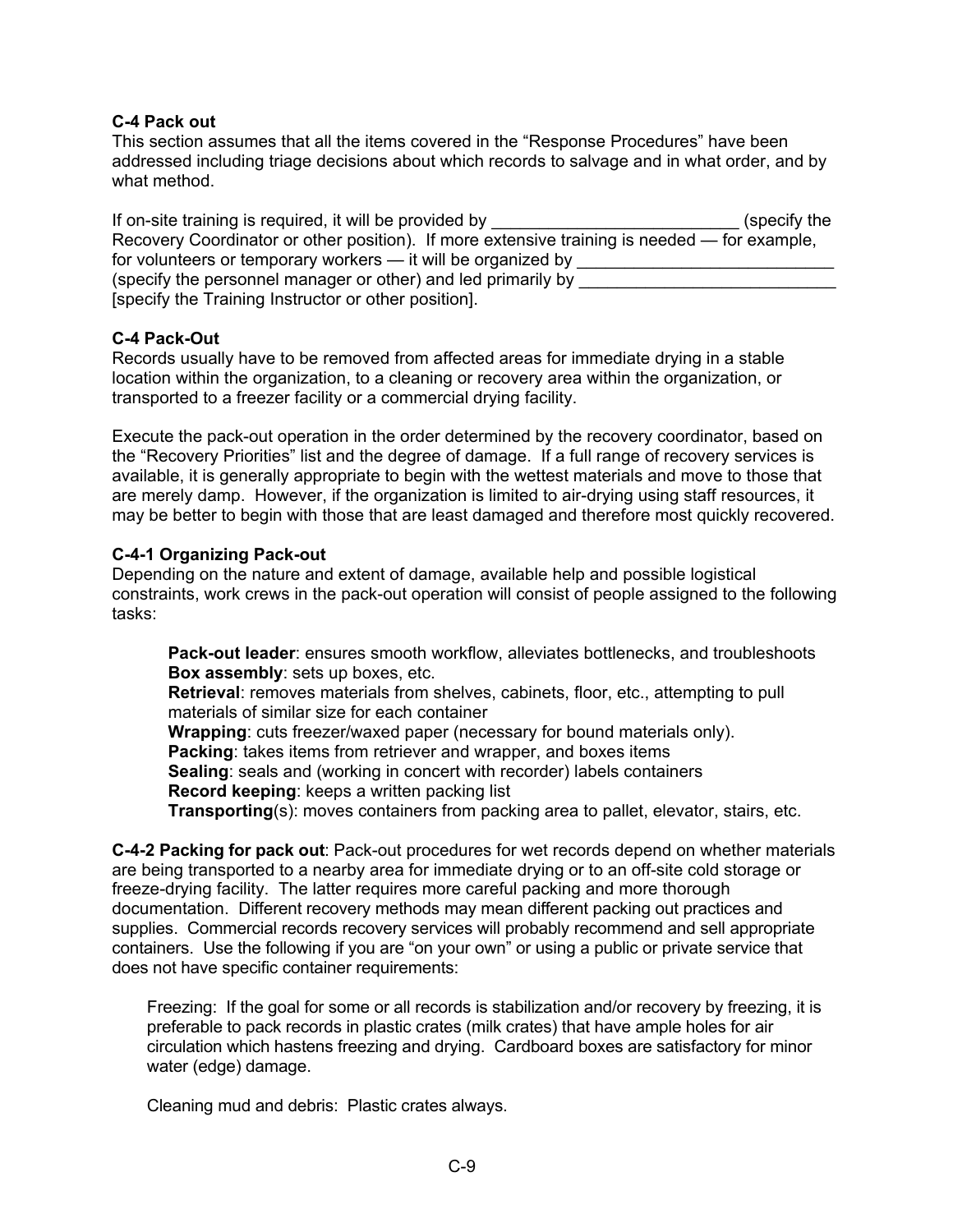## **C-4 Pack out**

This section assumes that all the items covered in the "Response Procedures" have been addressed including triage decisions about which records to salvage and in what order, and by what method.

| If on-site training is required, it will be provided by                                      | (specify the |
|----------------------------------------------------------------------------------------------|--------------|
| Recovery Coordinator or other position). If more extensive training is needed — for example, |              |
| for volunteers or temporary workers - it will be organized by                                |              |
| (specify the personnel manager or other) and led primarily by                                |              |
| [specify the Training Instructor or other position].                                         |              |

## **C-4 Pack-Out**

Records usually have to be removed from affected areas for immediate drying in a stable location within the organization, to a cleaning or recovery area within the organization, or transported to a freezer facility or a commercial drying facility.

Execute the pack-out operation in the order determined by the recovery coordinator, based on the "Recovery Priorities" list and the degree of damage. If a full range of recovery services is available, it is generally appropriate to begin with the wettest materials and move to those that are merely damp. However, if the organization is limited to air-drying using staff resources, it may be better to begin with those that are least damaged and therefore most quickly recovered.

#### **C-4-1 Organizing Pack-out**

Depending on the nature and extent of damage, available help and possible logistical constraints, work crews in the pack-out operation will consist of people assigned to the following tasks:

**Pack-out leader**: ensures smooth workflow, alleviates bottlenecks, and troubleshoots **Box assembly**: sets up boxes, etc.

**Retrieval**: removes materials from shelves, cabinets, floor, etc., attempting to pull materials of similar size for each container

**Wrapping**: cuts freezer/waxed paper (necessary for bound materials only). **Packing**: takes items from retriever and wrapper, and boxes items **Sealing**: seals and (working in concert with recorder) labels containers

**Record keeping**: keeps a written packing list

**Transporting**(s): moves containers from packing area to pallet, elevator, stairs, etc.

**C-4-2 Packing for pack out**: Pack-out procedures for wet records depend on whether materials are being transported to a nearby area for immediate drying or to an off-site cold storage or freeze-drying facility. The latter requires more careful packing and more thorough documentation. Different recovery methods may mean different packing out practices and supplies. Commercial records recovery services will probably recommend and sell appropriate containers. Use the following if you are "on your own" or using a public or private service that does not have specific container requirements:

Freezing: If the goal for some or all records is stabilization and/or recovery by freezing, it is preferable to pack records in plastic crates (milk crates) that have ample holes for air circulation which hastens freezing and drying. Cardboard boxes are satisfactory for minor water (edge) damage.

Cleaning mud and debris: Plastic crates always.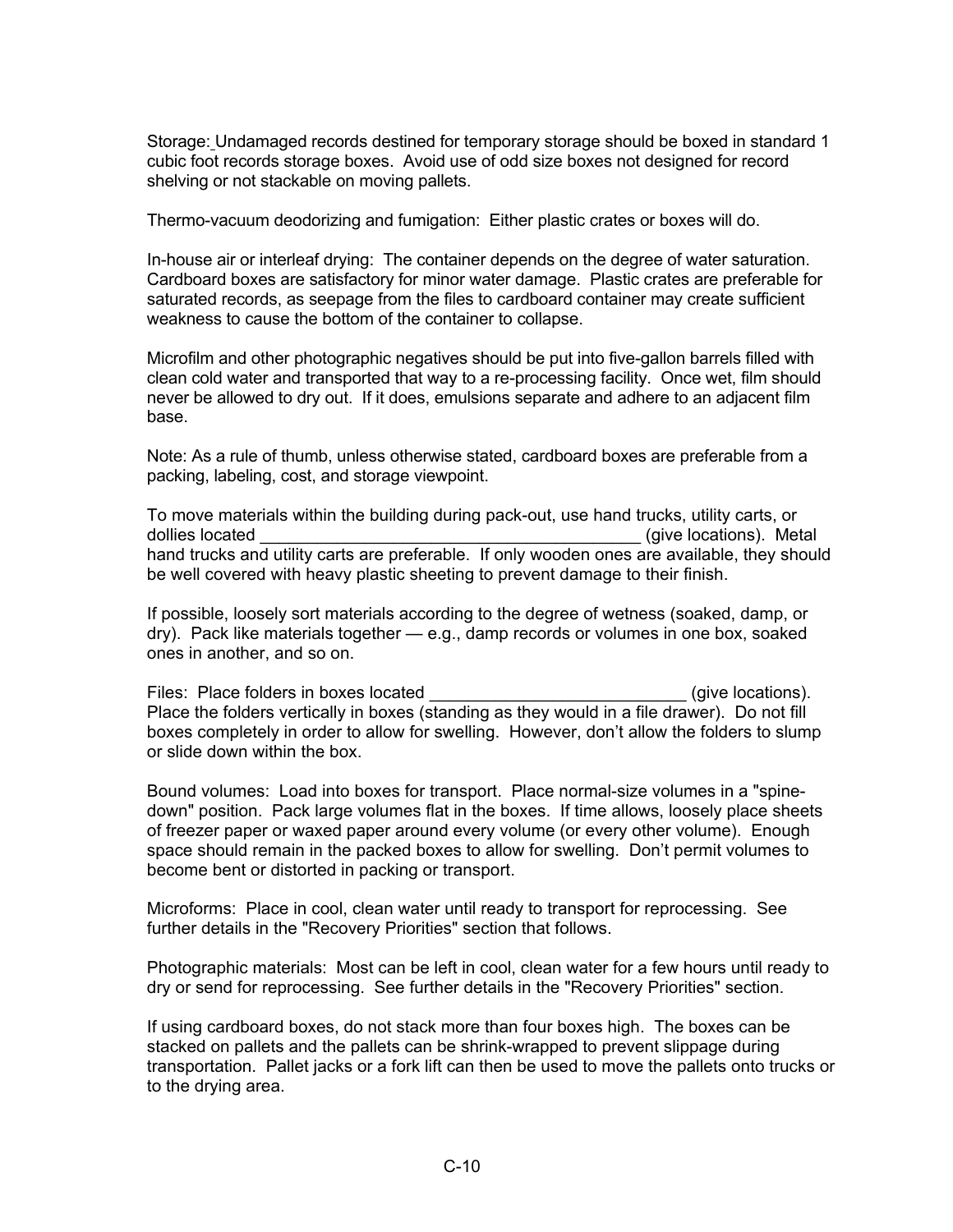Storage: Undamaged records destined for temporary storage should be boxed in standard 1 cubic foot records storage boxes. Avoid use of odd size boxes not designed for record shelving or not stackable on moving pallets.

Thermo-vacuum deodorizing and fumigation: Either plastic crates or boxes will do.

In-house air or interleaf drying: The container depends on the degree of water saturation. Cardboard boxes are satisfactory for minor water damage. Plastic crates are preferable for saturated records, as seepage from the files to cardboard container may create sufficient weakness to cause the bottom of the container to collapse.

Microfilm and other photographic negatives should be put into five-gallon barrels filled with clean cold water and transported that way to a re-processing facility. Once wet, film should never be allowed to dry out. If it does, emulsions separate and adhere to an adjacent film base.

Note: As a rule of thumb, unless otherwise stated, cardboard boxes are preferable from a packing, labeling, cost, and storage viewpoint.

To move materials within the building during pack-out, use hand trucks, utility carts, or dollies located **by the controlling of the controlling of the controlling of the controlling of the controlling of the controlling of the controlling of the controlling of the controlling of the controlling of the controll** hand trucks and utility carts are preferable. If only wooden ones are available, they should be well covered with heavy plastic sheeting to prevent damage to their finish.

If possible, loosely sort materials according to the degree of wetness (soaked, damp, or dry). Pack like materials together — e.g., damp records or volumes in one box, soaked ones in another, and so on.

Files: Place folders in boxes located example and service of give locations). Place the folders vertically in boxes (standing as they would in a file drawer). Do not fill boxes completely in order to allow for swelling. However, don't allow the folders to slump or slide down within the box.

Bound volumes: Load into boxes for transport. Place normal-size volumes in a "spinedown" position. Pack large volumes flat in the boxes. If time allows, loosely place sheets of freezer paper or waxed paper around every volume (or every other volume). Enough space should remain in the packed boxes to allow for swelling. Don't permit volumes to become bent or distorted in packing or transport.

Microforms: Place in cool, clean water until ready to transport for reprocessing. See further details in the "Recovery Priorities" section that follows.

Photographic materials: Most can be left in cool, clean water for a few hours until ready to dry or send for reprocessing. See further details in the "Recovery Priorities" section.

If using cardboard boxes, do not stack more than four boxes high. The boxes can be stacked on pallets and the pallets can be shrink-wrapped to prevent slippage during transportation. Pallet jacks or a fork lift can then be used to move the pallets onto trucks or to the drying area.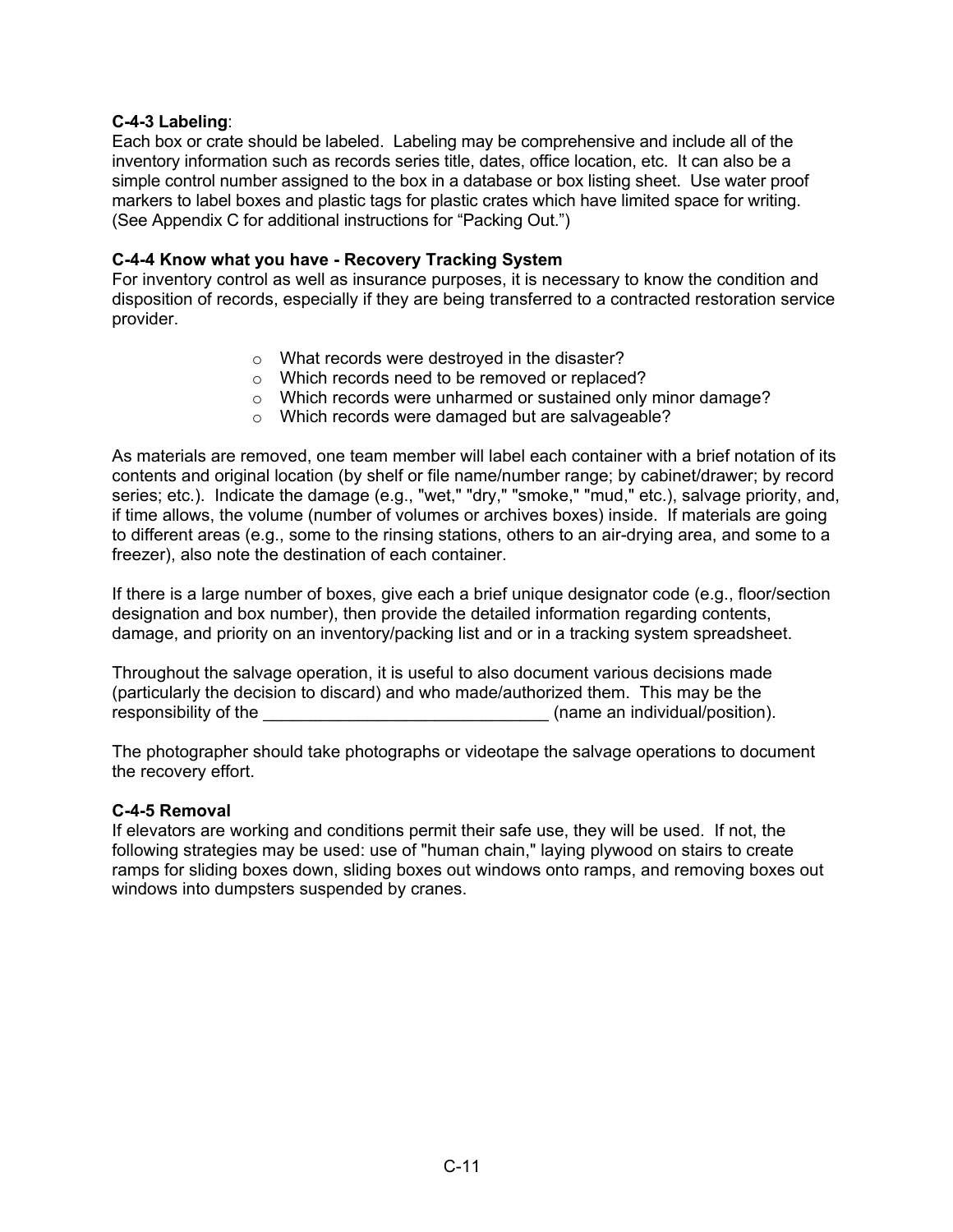#### **C-4-3 Labeling**:

Each box or crate should be labeled. Labeling may be comprehensive and include all of the inventory information such as records series title, dates, office location, etc. It can also be a simple control number assigned to the box in a database or box listing sheet. Use water proof markers to label boxes and plastic tags for plastic crates which have limited space for writing. (See Appendix C for additional instructions for "Packing Out.")

#### **C-4-4 Know what you have - Recovery Tracking System**

For inventory control as well as insurance purposes, it is necessary to know the condition and disposition of records, especially if they are being transferred to a contracted restoration service provider.

- o What records were destroyed in the disaster?
- o Which records need to be removed or replaced?
- o Which records were unharmed or sustained only minor damage?
- o Which records were damaged but are salvageable?

As materials are removed, one team member will label each container with a brief notation of its contents and original location (by shelf or file name/number range; by cabinet/drawer; by record series; etc.). Indicate the damage (e.g., "wet," "dry," "smoke," "mud," etc.), salvage priority, and, if time allows, the volume (number of volumes or archives boxes) inside. If materials are going to different areas (e.g., some to the rinsing stations, others to an air-drying area, and some to a freezer), also note the destination of each container.

If there is a large number of boxes, give each a brief unique designator code (e.g., floor/section designation and box number), then provide the detailed information regarding contents, damage, and priority on an inventory/packing list and or in a tracking system spreadsheet.

Throughout the salvage operation, it is useful to also document various decisions made (particularly the decision to discard) and who made/authorized them. This may be the responsibility of the \_\_\_\_\_\_\_\_\_\_\_\_\_\_\_\_\_\_\_\_\_\_\_\_\_\_\_\_\_\_ (name an individual/position).

The photographer should take photographs or videotape the salvage operations to document the recovery effort.

#### **C-4-5 Removal**

If elevators are working and conditions permit their safe use, they will be used. If not, the following strategies may be used: use of "human chain," laying plywood on stairs to create ramps for sliding boxes down, sliding boxes out windows onto ramps, and removing boxes out windows into dumpsters suspended by cranes.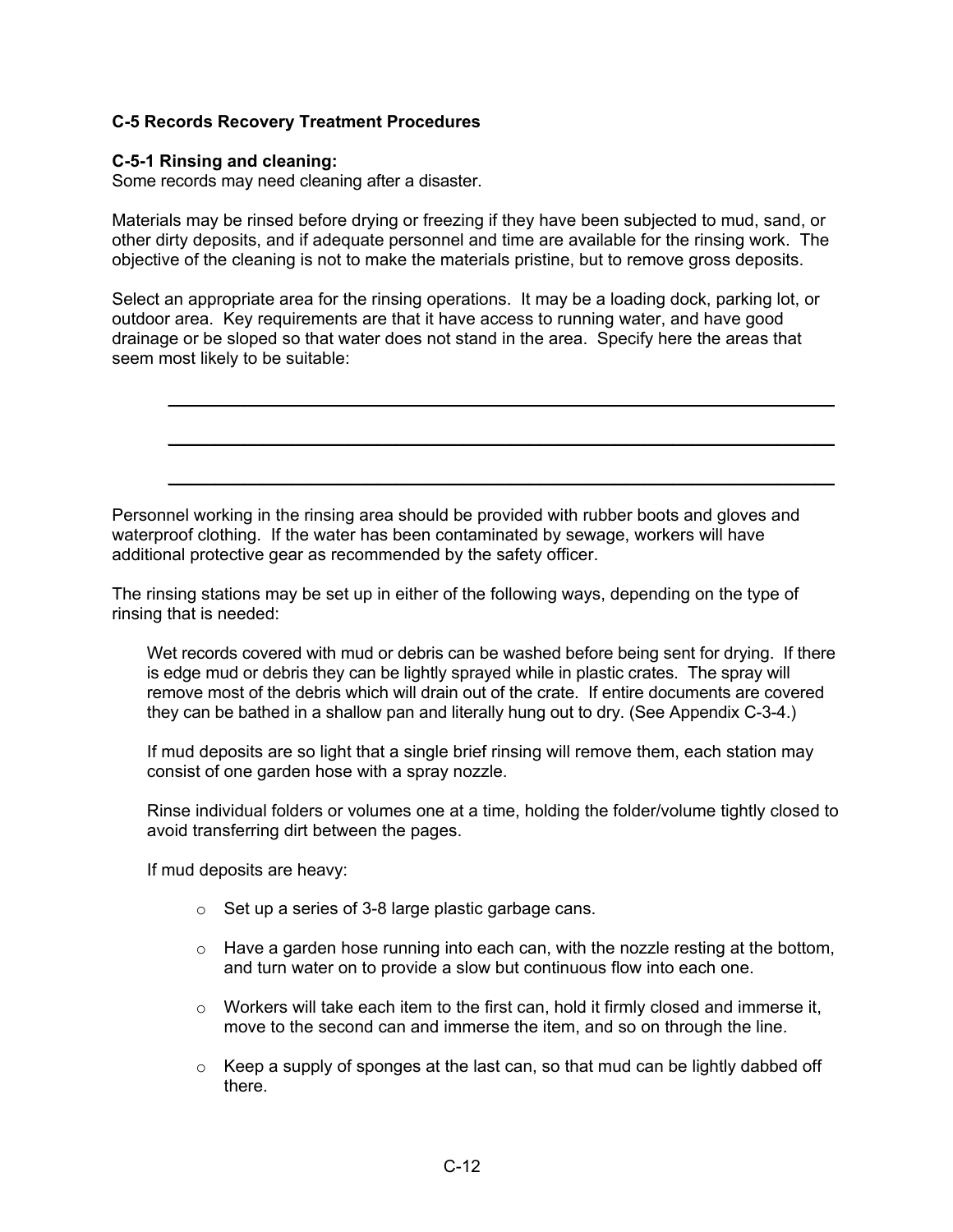## **C-5 Records Recovery Treatment Procedures**

#### **C-5-1 Rinsing and cleaning:**

Some records may need cleaning after a disaster.

Materials may be rinsed before drying or freezing if they have been subjected to mud, sand, or other dirty deposits, and if adequate personnel and time are available for the rinsing work. The objective of the cleaning is not to make the materials pristine, but to remove gross deposits.

Select an appropriate area for the rinsing operations. It may be a loading dock, parking lot, or outdoor area. Key requirements are that it have access to running water, and have good drainage or be sloped so that water does not stand in the area. Specify here the areas that seem most likely to be suitable:

 $\mathcal{L}_\text{max} = \mathcal{L}_\text{max} = \mathcal{L}_\text{max} = \mathcal{L}_\text{max} = \mathcal{L}_\text{max} = \mathcal{L}_\text{max} = \mathcal{L}_\text{max} = \mathcal{L}_\text{max} = \mathcal{L}_\text{max} = \mathcal{L}_\text{max} = \mathcal{L}_\text{max} = \mathcal{L}_\text{max} = \mathcal{L}_\text{max} = \mathcal{L}_\text{max} = \mathcal{L}_\text{max} = \mathcal{L}_\text{max} = \mathcal{L}_\text{max} = \mathcal{L}_\text{max} = \mathcal{$ 

\_\_\_\_\_\_\_\_\_\_\_\_\_\_\_\_\_\_\_\_\_\_\_\_\_\_\_\_\_\_\_\_\_\_\_\_\_\_\_\_\_\_\_\_\_\_\_\_\_\_\_\_\_\_\_\_\_\_\_\_\_\_\_\_\_\_\_\_\_\_

\_\_\_\_\_\_\_\_\_\_\_\_\_\_\_\_\_\_\_\_\_\_\_\_\_\_\_\_\_\_\_\_\_\_\_\_\_\_\_\_\_\_\_\_\_\_\_\_\_\_\_\_\_\_\_\_\_\_\_\_\_\_\_\_\_\_\_\_\_\_

Personnel working in the rinsing area should be provided with rubber boots and gloves and waterproof clothing. If the water has been contaminated by sewage, workers will have additional protective gear as recommended by the safety officer.

The rinsing stations may be set up in either of the following ways, depending on the type of rinsing that is needed:

Wet records covered with mud or debris can be washed before being sent for drying. If there is edge mud or debris they can be lightly sprayed while in plastic crates. The spray will remove most of the debris which will drain out of the crate. If entire documents are covered they can be bathed in a shallow pan and literally hung out to dry. (See Appendix C-3-4.)

If mud deposits are so light that a single brief rinsing will remove them, each station may consist of one garden hose with a spray nozzle.

Rinse individual folders or volumes one at a time, holding the folder/volume tightly closed to avoid transferring dirt between the pages.

If mud deposits are heavy:

- o Set up a series of 3-8 large plastic garbage cans.
- $\circ$  Have a garden hose running into each can, with the nozzle resting at the bottom, and turn water on to provide a slow but continuous flow into each one.
- $\circ$  Workers will take each item to the first can, hold it firmly closed and immerse it, move to the second can and immerse the item, and so on through the line.
- $\circ$  Keep a supply of sponges at the last can, so that mud can be lightly dabbed off there.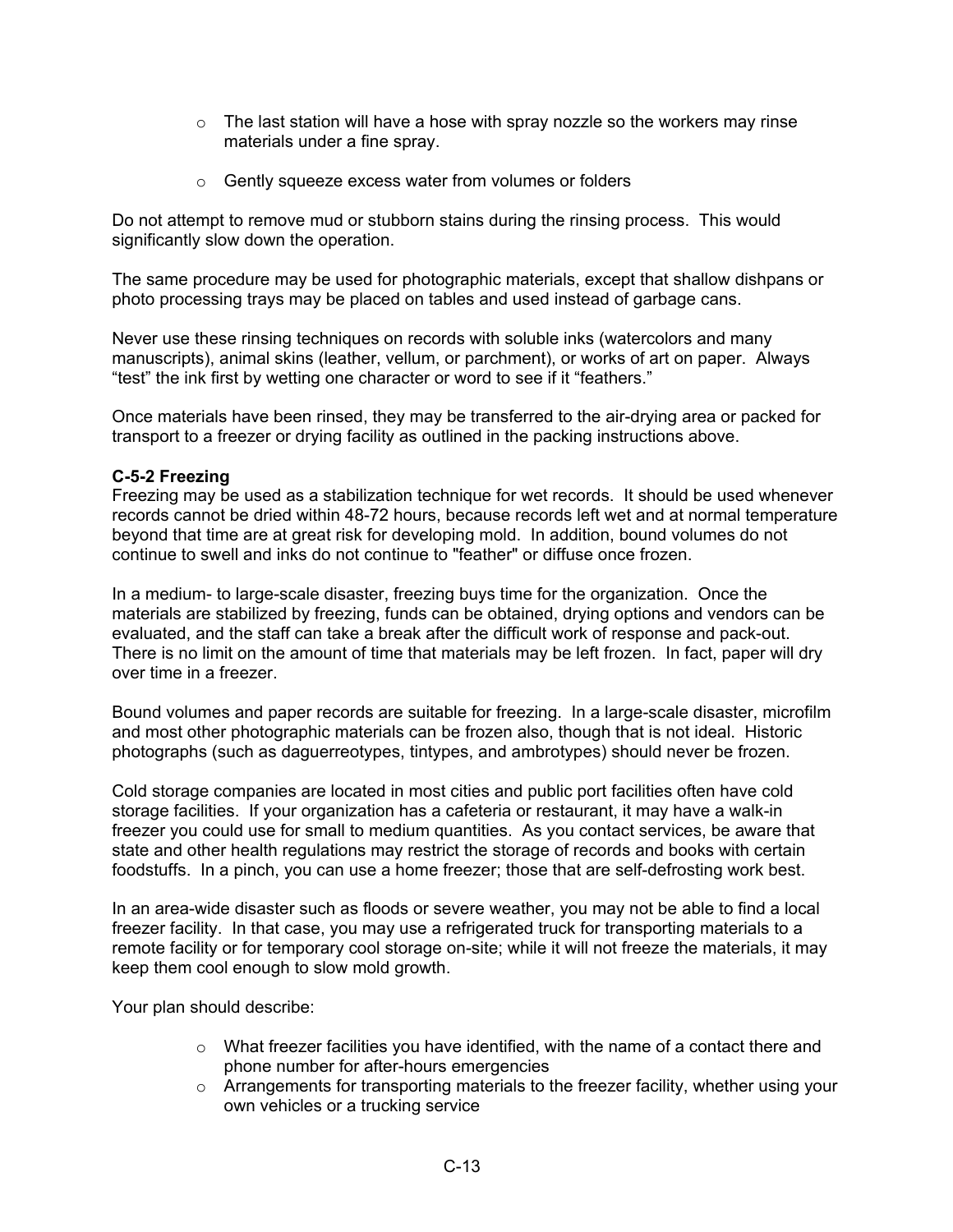- o The last station will have a hose with spray nozzle so the workers may rinse materials under a fine spray.
- o Gently squeeze excess water from volumes or folders

Do not attempt to remove mud or stubborn stains during the rinsing process. This would significantly slow down the operation.

The same procedure may be used for photographic materials, except that shallow dishpans or photo processing trays may be placed on tables and used instead of garbage cans.

Never use these rinsing techniques on records with soluble inks (watercolors and many manuscripts), animal skins (leather, vellum, or parchment), or works of art on paper. Always "test" the ink first by wetting one character or word to see if it "feathers."

Once materials have been rinsed, they may be transferred to the air-drying area or packed for transport to a freezer or drying facility as outlined in the packing instructions above.

## **C-5-2 Freezing**

Freezing may be used as a stabilization technique for wet records. It should be used whenever records cannot be dried within 48-72 hours, because records left wet and at normal temperature beyond that time are at great risk for developing mold. In addition, bound volumes do not continue to swell and inks do not continue to "feather" or diffuse once frozen.

In a medium- to large-scale disaster, freezing buys time for the organization. Once the materials are stabilized by freezing, funds can be obtained, drying options and vendors can be evaluated, and the staff can take a break after the difficult work of response and pack-out. There is no limit on the amount of time that materials may be left frozen. In fact, paper will dry over time in a freezer.

Bound volumes and paper records are suitable for freezing. In a large-scale disaster, microfilm and most other photographic materials can be frozen also, though that is not ideal. Historic photographs (such as daguerreotypes, tintypes, and ambrotypes) should never be frozen.

Cold storage companies are located in most cities and public port facilities often have cold storage facilities. If your organization has a cafeteria or restaurant, it may have a walk-in freezer you could use for small to medium quantities. As you contact services, be aware that state and other health regulations may restrict the storage of records and books with certain foodstuffs. In a pinch, you can use a home freezer; those that are self-defrosting work best.

In an area-wide disaster such as floods or severe weather, you may not be able to find a local freezer facility. In that case, you may use a refrigerated truck for transporting materials to a remote facility or for temporary cool storage on-site; while it will not freeze the materials, it may keep them cool enough to slow mold growth.

Your plan should describe:

- o What freezer facilities you have identified, with the name of a contact there and phone number for after-hours emergencies
- $\circ$  Arrangements for transporting materials to the freezer facility, whether using your own vehicles or a trucking service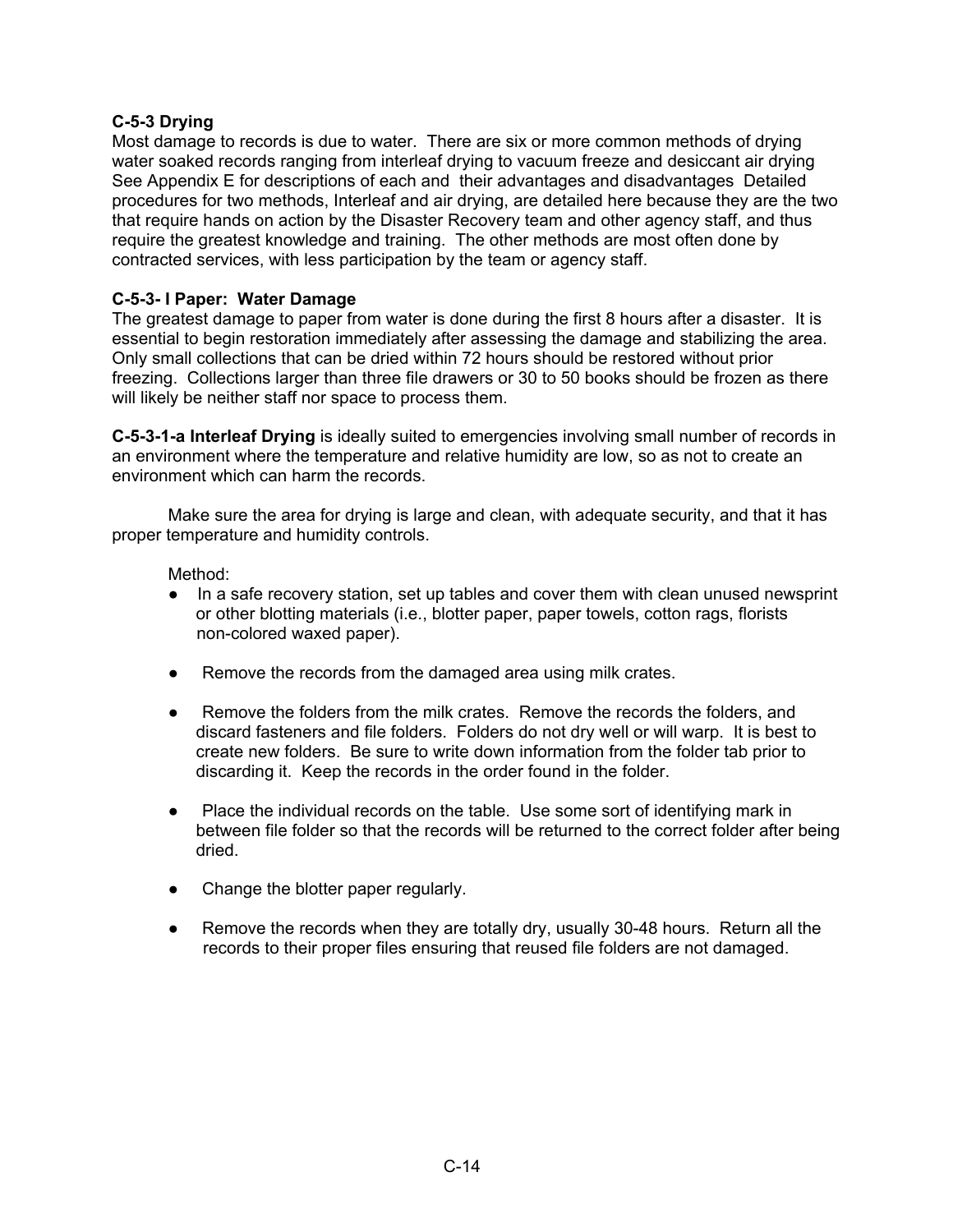## **C-5-3 Drying**

Most damage to records is due to water. There are six or more common methods of drying water soaked records ranging from interleaf drying to vacuum freeze and desiccant air drying See Appendix E for descriptions of each and their advantages and disadvantages Detailed procedures for two methods, Interleaf and air drying, are detailed here because they are the two that require hands on action by the Disaster Recovery team and other agency staff, and thus require the greatest knowledge and training. The other methods are most often done by contracted services, with less participation by the team or agency staff.

## **C-5-3- I Paper: Water Damage**

The greatest damage to paper from water is done during the first 8 hours after a disaster. It is essential to begin restoration immediately after assessing the damage and stabilizing the area. Only small collections that can be dried within 72 hours should be restored without prior freezing. Collections larger than three file drawers or 30 to 50 books should be frozen as there will likely be neither staff nor space to process them.

**C-5-3-1-a Interleaf Drying** is ideally suited to emergencies involving small number of records in an environment where the temperature and relative humidity are low, so as not to create an environment which can harm the records.

Make sure the area for drying is large and clean, with adequate security, and that it has proper temperature and humidity controls.

#### Method:

- In a safe recovery station, set up tables and cover them with clean unused newsprint or other blotting materials (i.e., blotter paper, paper towels, cotton rags, florists non-colored waxed paper).
- Remove the records from the damaged area using milk crates.
- Remove the folders from the milk crates. Remove the records the folders, and discard fasteners and file folders. Folders do not dry well or will warp. It is best to create new folders. Be sure to write down information from the folder tab prior to discarding it. Keep the records in the order found in the folder.
- Place the individual records on the table. Use some sort of identifying mark in between file folder so that the records will be returned to the correct folder after being dried.
- Change the blotter paper regularly.
- Remove the records when they are totally dry, usually 30-48 hours. Return all the records to their proper files ensuring that reused file folders are not damaged.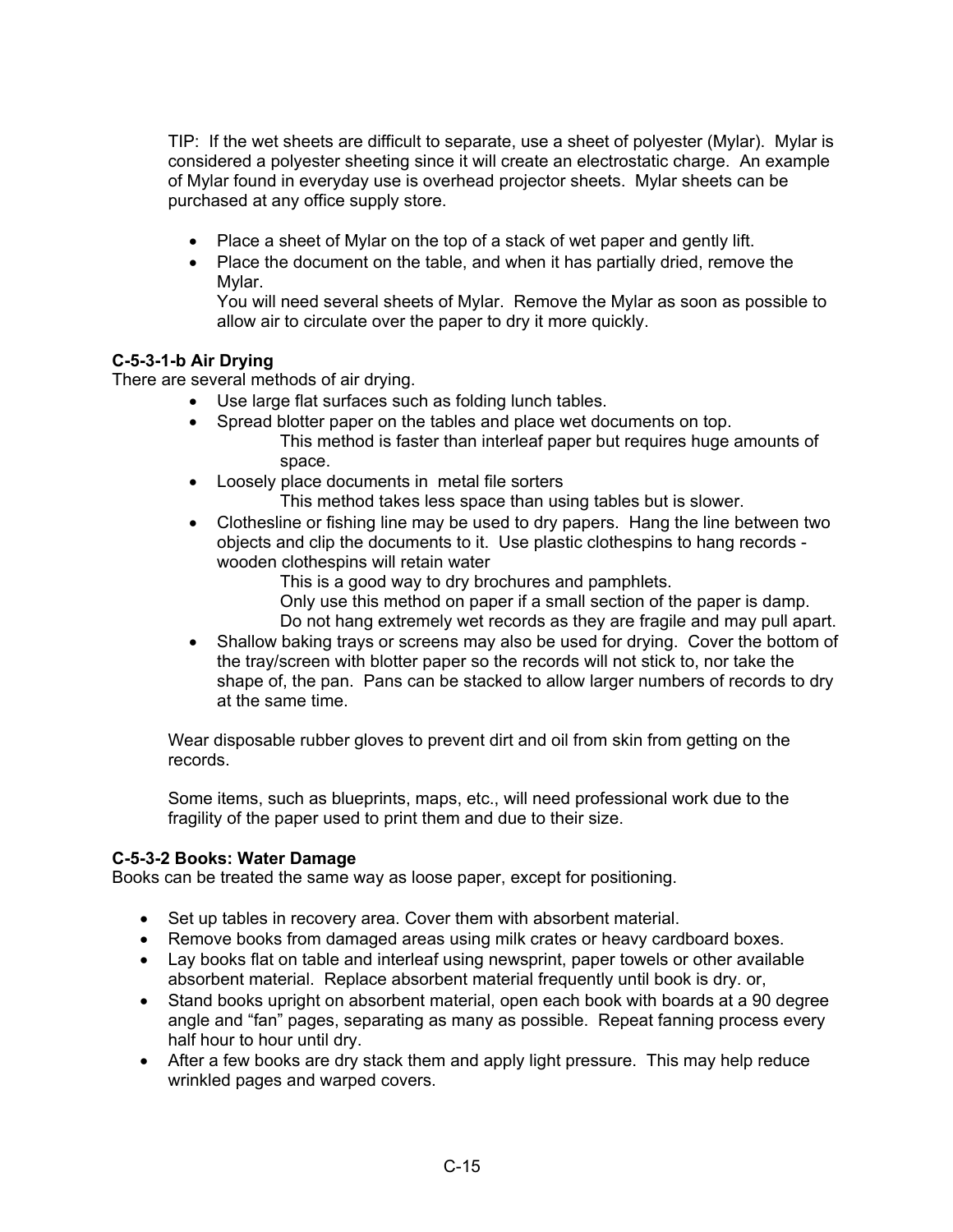TIP: If the wet sheets are difficult to separate, use a sheet of polyester (Mylar). Mylar is considered a polyester sheeting since it will create an electrostatic charge. An example of Mylar found in everyday use is overhead projector sheets. Mylar sheets can be purchased at any office supply store.

- Place a sheet of Mylar on the top of a stack of wet paper and gently lift.
- Place the document on the table, and when it has partially dried, remove the Mylar.

You will need several sheets of Mylar. Remove the Mylar as soon as possible to allow air to circulate over the paper to dry it more quickly.

## **C-5-3-1-b Air Drying**

There are several methods of air drying.

- Use large flat surfaces such as folding lunch tables.
- Spread blotter paper on the tables and place wet documents on top. This method is faster than interleaf paper but requires huge amounts of space.
- Loosely place documents in metal file sorters This method takes less space than using tables but is slower.
- Clothesline or fishing line may be used to dry papers. Hang the line between two objects and clip the documents to it. Use plastic clothespins to hang records wooden clothespins will retain water

This is a good way to dry brochures and pamphlets.

Only use this method on paper if a small section of the paper is damp.

Do not hang extremely wet records as they are fragile and may pull apart.

• Shallow baking trays or screens may also be used for drying. Cover the bottom of the tray/screen with blotter paper so the records will not stick to, nor take the shape of, the pan. Pans can be stacked to allow larger numbers of records to dry at the same time.

Wear disposable rubber gloves to prevent dirt and oil from skin from getting on the records.

Some items, such as blueprints, maps, etc., will need professional work due to the fragility of the paper used to print them and due to their size.

## **C-5-3-2 Books: Water Damage**

Books can be treated the same way as loose paper, except for positioning.

- Set up tables in recovery area. Cover them with absorbent material.
- Remove books from damaged areas using milk crates or heavy cardboard boxes.
- Lay books flat on table and interleaf using newsprint, paper towels or other available absorbent material. Replace absorbent material frequently until book is dry. or,
- Stand books upright on absorbent material, open each book with boards at a 90 degree angle and "fan" pages, separating as many as possible. Repeat fanning process every half hour to hour until dry.
- After a few books are dry stack them and apply light pressure. This may help reduce wrinkled pages and warped covers.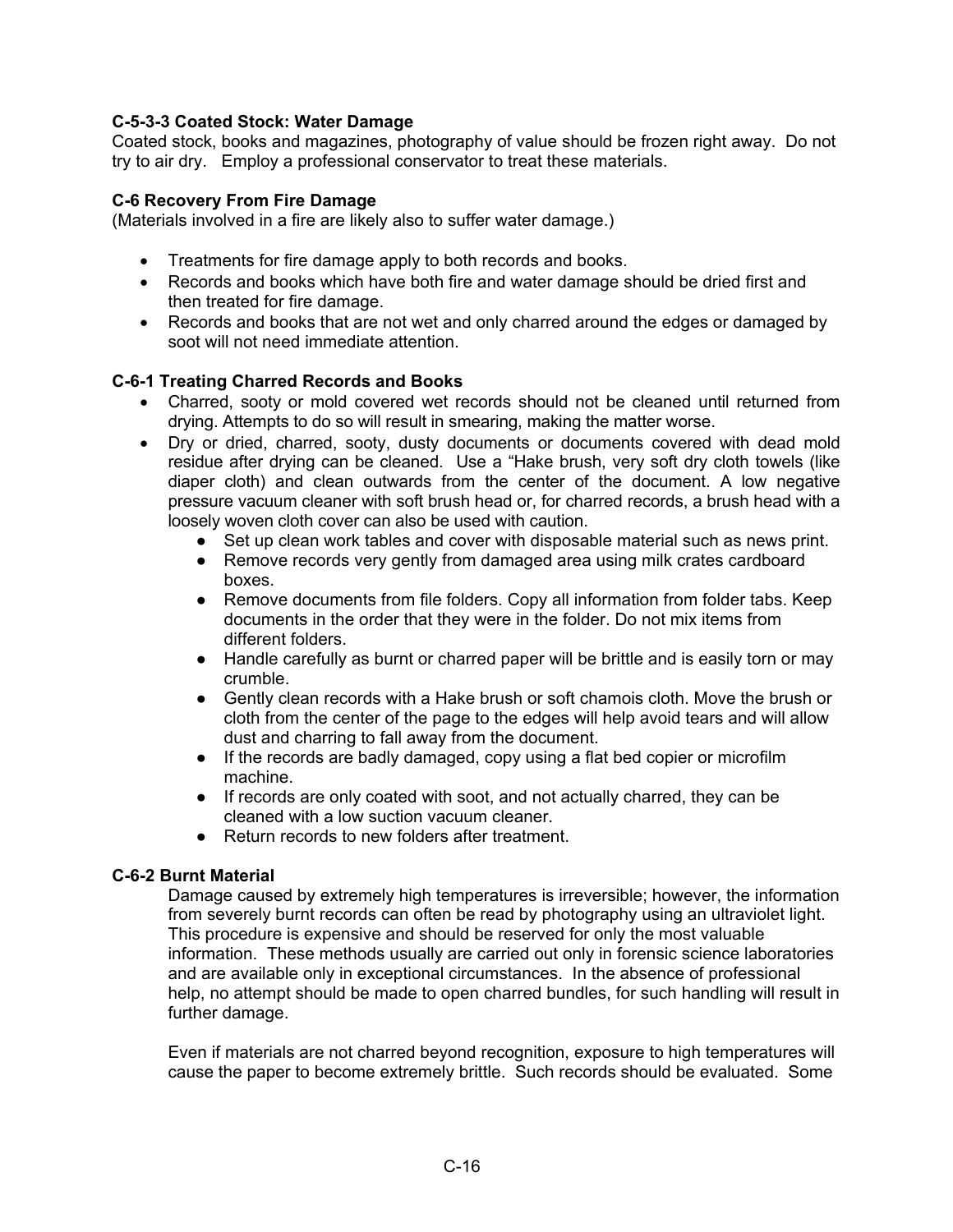## **C-5-3-3 Coated Stock: Water Damage**

Coated stock, books and magazines, photography of value should be frozen right away. Do not try to air dry. Employ a professional conservator to treat these materials.

## **C-6 Recovery From Fire Damage**

(Materials involved in a fire are likely also to suffer water damage.)

- Treatments for fire damage apply to both records and books.
- Records and books which have both fire and water damage should be dried first and then treated for fire damage.
- Records and books that are not wet and only charred around the edges or damaged by soot will not need immediate attention.

## **C-6-1 Treating Charred Records and Books**

- Charred, sooty or mold covered wet records should not be cleaned until returned from drying. Attempts to do so will result in smearing, making the matter worse.
- Dry or dried, charred, sooty, dusty documents or documents covered with dead mold residue after drying can be cleaned. Use a "Hake brush, very soft dry cloth towels (like diaper cloth) and clean outwards from the center of the document. A low negative pressure vacuum cleaner with soft brush head or, for charred records, a brush head with a loosely woven cloth cover can also be used with caution.
	- Set up clean work tables and cover with disposable material such as news print.
	- Remove records very gently from damaged area using milk crates cardboard boxes.
	- Remove documents from file folders. Copy all information from folder tabs. Keep documents in the order that they were in the folder. Do not mix items from different folders.
	- Handle carefully as burnt or charred paper will be brittle and is easily torn or may crumble.
	- Gently clean records with a Hake brush or soft chamois cloth. Move the brush or cloth from the center of the page to the edges will help avoid tears and will allow dust and charring to fall away from the document.
	- If the records are badly damaged, copy using a flat bed copier or microfilm machine.
	- If records are only coated with soot, and not actually charred, they can be cleaned with a low suction vacuum cleaner.
	- Return records to new folders after treatment.

#### **C-6-2 Burnt Material**

Damage caused by extremely high temperatures is irreversible; however, the information from severely burnt records can often be read by photography using an ultraviolet light. This procedure is expensive and should be reserved for only the most valuable information. These methods usually are carried out only in forensic science laboratories and are available only in exceptional circumstances. In the absence of professional help, no attempt should be made to open charred bundles, for such handling will result in further damage.

Even if materials are not charred beyond recognition, exposure to high temperatures will cause the paper to become extremely brittle. Such records should be evaluated. Some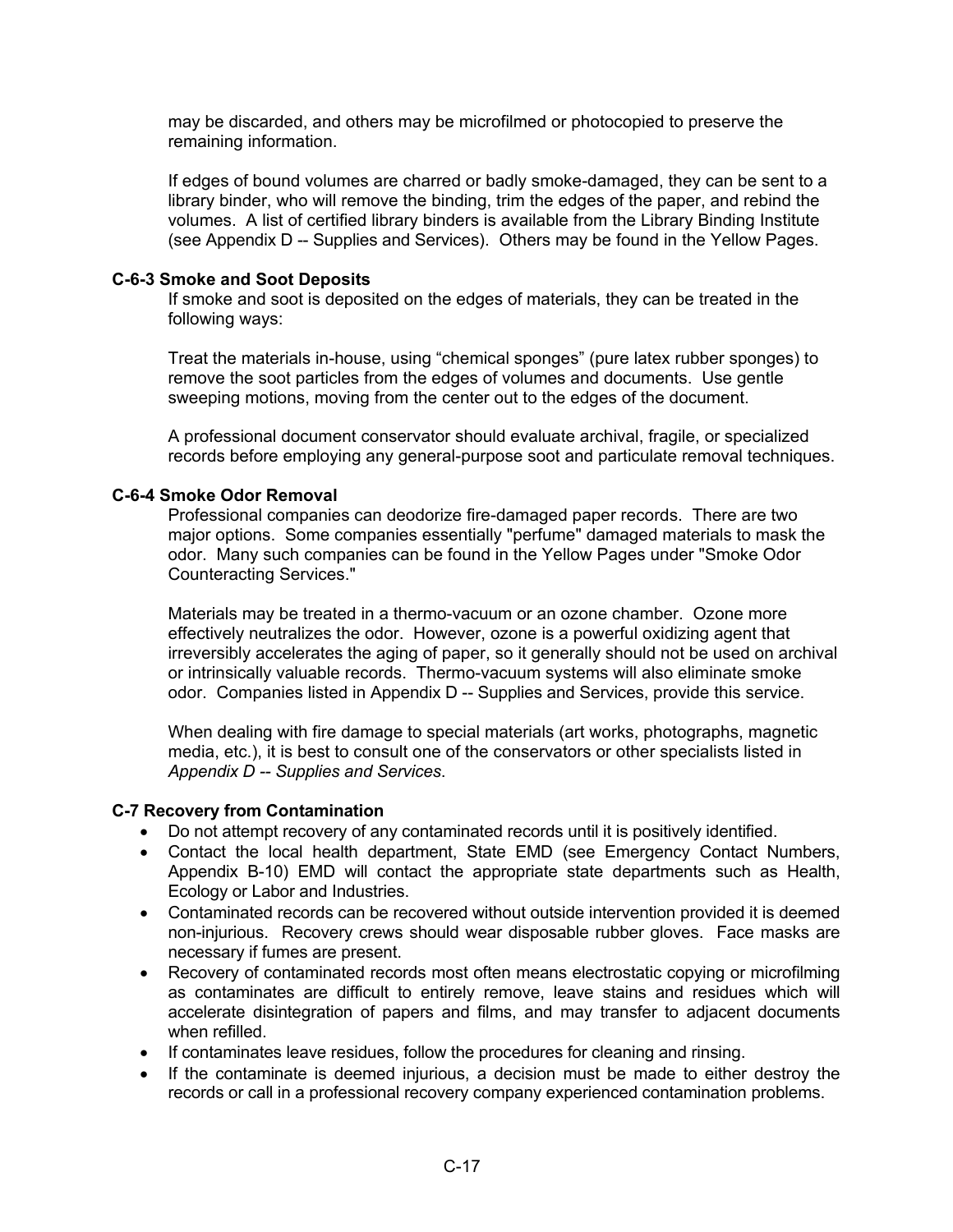may be discarded, and others may be microfilmed or photocopied to preserve the remaining information.

If edges of bound volumes are charred or badly smoke-damaged, they can be sent to a library binder, who will remove the binding, trim the edges of the paper, and rebind the volumes. A list of certified library binders is available from the Library Binding Institute (see Appendix D -- Supplies and Services). Others may be found in the Yellow Pages.

#### **C-6-3 Smoke and Soot Deposits**

If smoke and soot is deposited on the edges of materials, they can be treated in the following ways:

Treat the materials in-house, using "chemical sponges" (pure latex rubber sponges) to remove the soot particles from the edges of volumes and documents. Use gentle sweeping motions, moving from the center out to the edges of the document.

A professional document conservator should evaluate archival, fragile, or specialized records before employing any general-purpose soot and particulate removal techniques.

## **C-6-4 Smoke Odor Removal**

Professional companies can deodorize fire-damaged paper records. There are two major options. Some companies essentially "perfume" damaged materials to mask the odor. Many such companies can be found in the Yellow Pages under "Smoke Odor Counteracting Services."

Materials may be treated in a thermo-vacuum or an ozone chamber. Ozone more effectively neutralizes the odor. However, ozone is a powerful oxidizing agent that irreversibly accelerates the aging of paper, so it generally should not be used on archival or intrinsically valuable records. Thermo-vacuum systems will also eliminate smoke odor. Companies listed in Appendix D -- Supplies and Services, provide this service.

When dealing with fire damage to special materials (art works, photographs, magnetic media, etc.), it is best to consult one of the conservators or other specialists listed in *Appendix D -- Supplies and Services*.

## **C-7 Recovery from Contamination**

- Do not attempt recovery of any contaminated records until it is positively identified.
- Contact the local health department, State EMD (see Emergency Contact Numbers, Appendix B-10) EMD will contact the appropriate state departments such as Health, Ecology or Labor and Industries.
- Contaminated records can be recovered without outside intervention provided it is deemed non-injurious. Recovery crews should wear disposable rubber gloves. Face masks are necessary if fumes are present.
- Recovery of contaminated records most often means electrostatic copying or microfilming as contaminates are difficult to entirely remove, leave stains and residues which will accelerate disintegration of papers and films, and may transfer to adjacent documents when refilled.
- If contaminates leave residues, follow the procedures for cleaning and rinsing.
- If the contaminate is deemed injurious, a decision must be made to either destroy the records or call in a professional recovery company experienced contamination problems.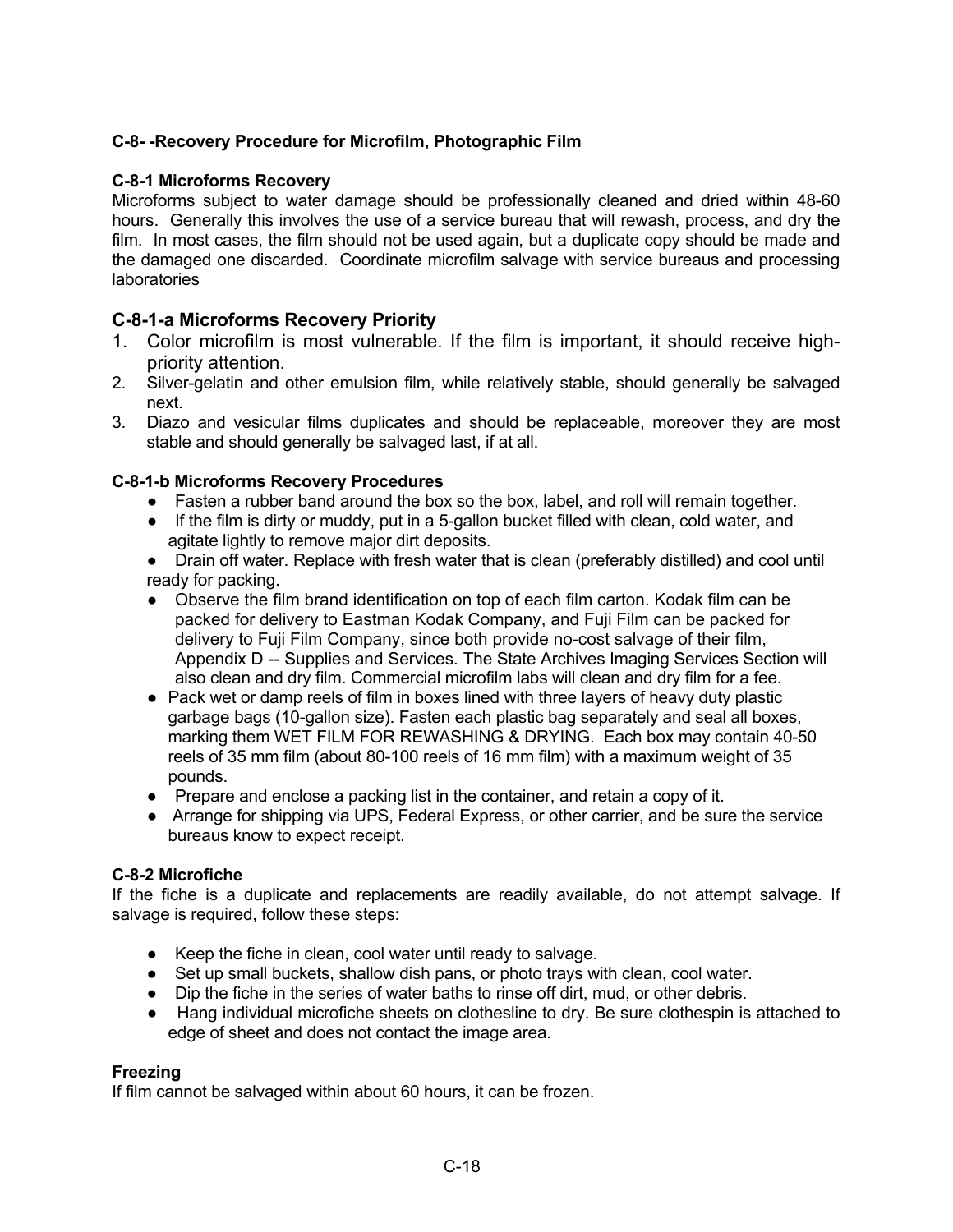# **C-8- -Recovery Procedure for Microfilm, Photographic Film**

#### **C-8-1 Microforms Recovery**

Microforms subject to water damage should be professionally cleaned and dried within 48-60 hours. Generally this involves the use of a service bureau that will rewash, process, and dry the film. In most cases, the film should not be used again, but a duplicate copy should be made and the damaged one discarded. Coordinate microfilm salvage with service bureaus and processing **laboratories** 

# **C-8-1-a Microforms Recovery Priority**

- 1. Color microfilm is most vulnerable. If the film is important, it should receive highpriority attention.
- 2. Silver-gelatin and other emulsion film, while relatively stable, should generally be salvaged next.
- 3. Diazo and vesicular films duplicates and should be replaceable, moreover they are most stable and should generally be salvaged last, if at all.

## **C-8-1-b Microforms Recovery Procedures**

- Fasten a rubber band around the box so the box, label, and roll will remain together.
- If the film is dirty or muddy, put in a 5-gallon bucket filled with clean, cold water, and agitate lightly to remove major dirt deposits.
- Drain off water. Replace with fresh water that is clean (preferably distilled) and cool until ready for packing.
- Observe the film brand identification on top of each film carton. Kodak film can be packed for delivery to Eastman Kodak Company, and Fuji Film can be packed for delivery to Fuji Film Company, since both provide no-cost salvage of their film, Appendix D -- Supplies and Services*.* The State Archives Imaging Services Section will also clean and dry film. Commercial microfilm labs will clean and dry film for a fee.
- Pack wet or damp reels of film in boxes lined with three layers of heavy duty plastic garbage bags (10-gallon size). Fasten each plastic bag separately and seal all boxes, marking them WET FILM FOR REWASHING & DRYING. Each box may contain 40-50 reels of 35 mm film (about 80-100 reels of 16 mm film) with a maximum weight of 35 pounds.
- Prepare and enclose a packing list in the container, and retain a copy of it.
- Arrange for shipping via UPS, Federal Express, or other carrier, and be sure the service bureaus know to expect receipt.

#### **C-8-2 Microfiche**

If the fiche is a duplicate and replacements are readily available, do not attempt salvage. If salvage is required, follow these steps:

- Keep the fiche in clean, cool water until ready to salvage.
- Set up small buckets, shallow dish pans, or photo trays with clean, cool water.
- Dip the fiche in the series of water baths to rinse off dirt, mud, or other debris.
- Hang individual microfiche sheets on clothesline to dry. Be sure clothespin is attached to edge of sheet and does not contact the image area.

#### **Freezing**

If film cannot be salvaged within about 60 hours, it can be frozen.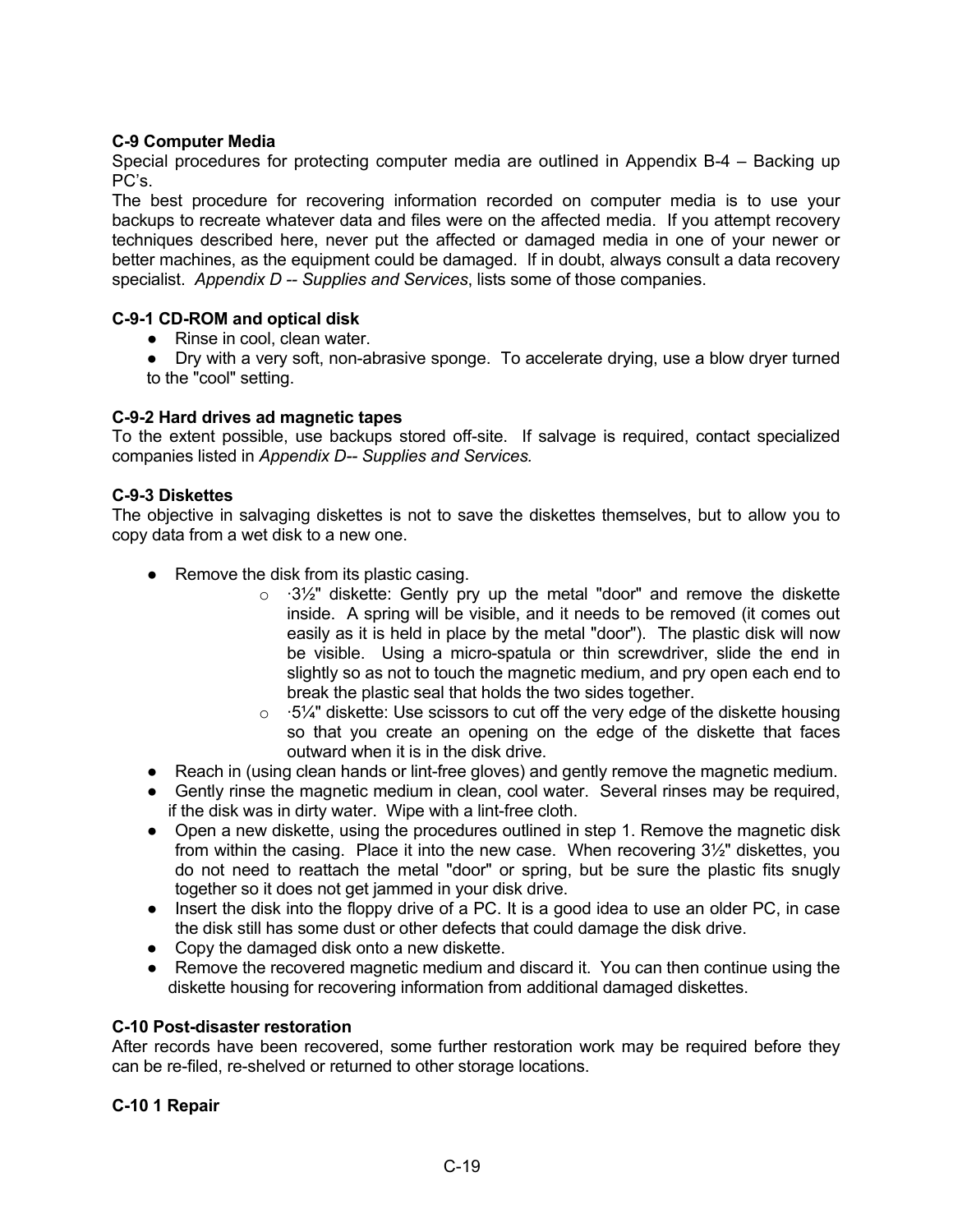## **C-9 Computer Media**

Special procedures for protecting computer media are outlined in Appendix B-4 – Backing up PC's.

The best procedure for recovering information recorded on computer media is to use your backups to recreate whatever data and files were on the affected media. If you attempt recovery techniques described here, never put the affected or damaged media in one of your newer or better machines, as the equipment could be damaged. If in doubt, always consult a data recovery specialist. *Appendix D -- Supplies and Services*, lists some of those companies.

## **C-9-1 CD-ROM and optical disk**

- Rinse in cool, clean water.
- Dry with a very soft, non-abrasive sponge. To accelerate drying, use a blow dryer turned to the "cool" setting.

## **C-9-2 Hard drives ad magnetic tapes**

To the extent possible, use backups stored off-site. If salvage is required, contact specialized companies listed in *Appendix D-- Supplies and Services.* 

## **C-9-3 Diskettes**

The objective in salvaging diskettes is not to save the diskettes themselves, but to allow you to copy data from a wet disk to a new one.

- Remove the disk from its plastic casing.
	- $\circ$   $\cdot$  3<sup>1</sup>/<sub>2</sub>" diskette: Gently pry up the metal "door" and remove the diskette inside. A spring will be visible, and it needs to be removed (it comes out easily as it is held in place by the metal "door"). The plastic disk will now be visible. Using a micro-spatula or thin screwdriver, slide the end in slightly so as not to touch the magnetic medium, and pry open each end to break the plastic seal that holds the two sides together.
	- $\circ$   $\cdot$  5¼" diskette: Use scissors to cut off the very edge of the diskette housing so that you create an opening on the edge of the diskette that faces outward when it is in the disk drive.
- Reach in (using clean hands or lint-free gloves) and gently remove the magnetic medium.
- Gently rinse the magnetic medium in clean, cool water. Several rinses may be required, if the disk was in dirty water. Wipe with a lint-free cloth.
- Open a new diskette, using the procedures outlined in step 1. Remove the magnetic disk from within the casing. Place it into the new case. When recovering 3½" diskettes, you do not need to reattach the metal "door" or spring, but be sure the plastic fits snugly together so it does not get jammed in your disk drive.
- Insert the disk into the floppy drive of a PC. It is a good idea to use an older PC, in case the disk still has some dust or other defects that could damage the disk drive.
- Copy the damaged disk onto a new diskette.
- Remove the recovered magnetic medium and discard it. You can then continue using the diskette housing for recovering information from additional damaged diskettes.

## **C-10 Post-disaster restoration**

After records have been recovered, some further restoration work may be required before they can be re-filed, re-shelved or returned to other storage locations.

## **C-10 1 Repair**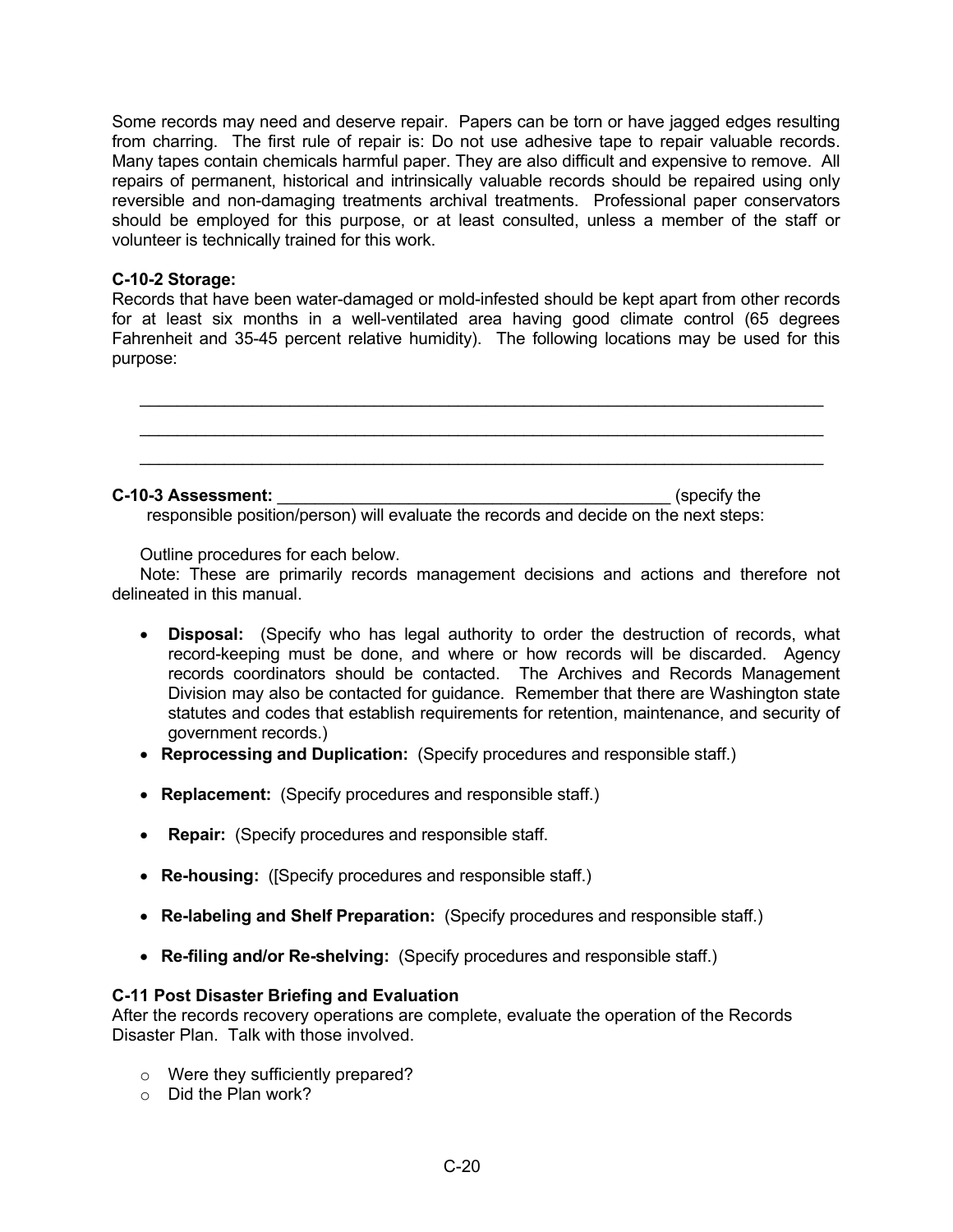Some records may need and deserve repair. Papers can be torn or have jagged edges resulting from charring. The first rule of repair is: Do not use adhesive tape to repair valuable records. Many tapes contain chemicals harmful paper. They are also difficult and expensive to remove. All repairs of permanent, historical and intrinsically valuable records should be repaired using only reversible and non-damaging treatments archival treatments. Professional paper conservators should be employed for this purpose, or at least consulted, unless a member of the staff or volunteer is technically trained for this work.

#### **C-10-2 Storage:**

Records that have been water-damaged or mold-infested should be kept apart from other records for at least six months in a well-ventilated area having good climate control (65 degrees Fahrenheit and 35-45 percent relative humidity). The following locations may be used for this purpose:



#### **C-10-3 Assessment:** \_\_\_\_\_\_\_\_\_\_\_\_\_\_\_\_\_\_\_\_\_\_\_\_\_\_\_\_\_\_\_\_\_\_\_\_\_\_\_\_\_\_ (specify the

responsible position/person) will evaluate the records and decide on the next steps:

Outline procedures for each below.

 Note: These are primarily records management decisions and actions and therefore not delineated in this manual.

- **Disposal:** (Specify who has legal authority to order the destruction of records, what record-keeping must be done, and where or how records will be discarded. Agency records coordinators should be contacted. The Archives and Records Management Division may also be contacted for guidance. Remember that there are Washington state statutes and codes that establish requirements for retention, maintenance, and security of government records.)
- **Reprocessing and Duplication:** (Specify procedures and responsible staff.)
- **Replacement:** (Specify procedures and responsible staff.)
- **Repair:** (Specify procedures and responsible staff.
- **Re-housing:** ([Specify procedures and responsible staff.)
- **Re-labeling and Shelf Preparation:** (Specify procedures and responsible staff.)
- **Re-filing and/or Re-shelving:** (Specify procedures and responsible staff.)

## **C-11 Post Disaster Briefing and Evaluation**

After the records recovery operations are complete, evaluate the operation of the Records Disaster Plan. Talk with those involved.

- o Were they sufficiently prepared?
- o Did the Plan work?